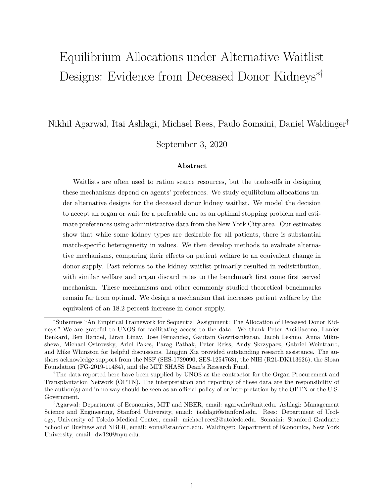# <span id="page-0-0"></span>Equilibrium Allocations under Alternative Waitlist Designs: Evidence from Deceased Donor Kidneys∗†

Nikhil Agarwal, Itai Ashlagi, Michael Rees, Paulo Somaini, Daniel Waldinger‡

September 3, 2020

## **Abstract**

Waitlists are often used to ration scarce resources, but the trade-offs in designing these mechanisms depend on agents' preferences. We study equilibrium allocations under alternative designs for the deceased donor kidney waitlist. We model the decision to accept an organ or wait for a preferable one as an optimal stopping problem and estimate preferences using administrative data from the New York City area. Our estimates show that while some kidney types are desirable for all patients, there is substantial match-specific heterogeneity in values. We then develop methods to evaluate alternative mechanisms, comparing their effects on patient welfare to an equivalent change in donor supply. Past reforms to the kidney waitlist primarily resulted in redistribution, with similar welfare and organ discard rates to the benchmark first come first served mechanism. These mechanisms and other commonly studied theoretical benchmarks remain far from optimal. We design a mechanism that increases patient welfare by the equivalent of an 18.2 percent increase in donor supply.

<sup>∗</sup>Subsumes "An Empirical Framework for Sequential Assignment: The Allocation of Deceased Donor Kidneys." We are grateful to UNOS for facilitating access to the data. We thank Peter Arcidiacono, Lanier Benkard, Ben Handel, Liran Einav, Jose Fernandez, Gautam Gowrisankaran, Jacob Leshno, Anna Mikusheva, Michael Ostrovsky, Ariel Pakes, Parag Pathak, Peter Reiss, Andy Skrzypacz, Gabriel Weintraub, and Mike Whinston for helpful discussions. Lingjun Xia provided outstanding research assistance. The authors acknowledge support from the NSF (SES-1729090, SES-1254768), the NIH (R21-DK113626), the Sloan Foundation (FG-2019-11484), and the MIT SHASS Dean's Research Fund.

<sup>†</sup>The data reported here have been supplied by UNOS as the contractor for the Organ Procurement and Transplantation Network (OPTN). The interpretation and reporting of these data are the responsibility of the author(s) and in no way should be seen as an official policy of or interpretation by the OPTN or the U.S. Government.

<sup>‡</sup>Agarwal: Department of Economics, MIT and NBER, email: agarwaln@mit.edu. Ashlagi: Management Science and Engineering, Stanford University, email: iashlagi@stanford.edu. Rees: Department of Urology, University of Toledo Medical Center, email: michael.rees2@utoledo.edu. Somaini: Stanford Graduate School of Business and NBER, email: soma@stanford.edu. Waldinger: Department of Economics, New York University, email: dw120@nyu.edu.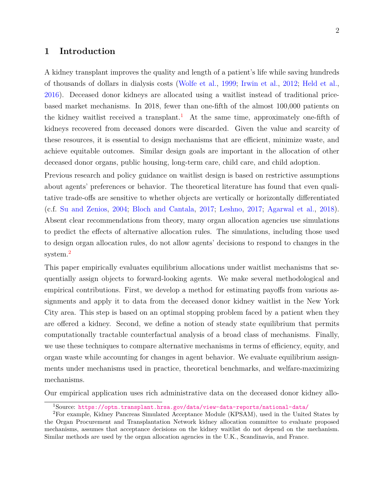# **1 Introduction**

A kidney transplant improves the quality and length of a patient's life while saving hundreds of thousands of dollars in dialysis costs [\(Wolfe et al.,](#page-46-0) [1999;](#page-46-0) [Irwin et al.,](#page-45-0) [2012;](#page-45-0) [Held et al.,](#page-44-0) [2016\)](#page-44-0). Deceased donor kidneys are allocated using a waitlist instead of traditional pricebased market mechanisms. In 2018, fewer than one-fifth of the almost 100,000 patients on the kidney waitlist received a transplant.<sup>[1](#page-1-0)</sup> At the same time, approximately one-fifth of kidneys recovered from deceased donors were discarded. Given the value and scarcity of these resources, it is essential to design mechanisms that are efficient, minimize waste, and achieve equitable outcomes. Similar design goals are important in the allocation of other deceased donor organs, public housing, long-term care, child care, and child adoption.

Previous research and policy guidance on waitlist design is based on restrictive assumptions about agents' preferences or behavior. The theoretical literature has found that even qualitative trade-offs are sensitive to whether objects are vertically or horizontally differentiated (c.f. [Su and Zenios,](#page-46-1) [2004;](#page-46-1) [Bloch and Cantala,](#page-44-1) [2017;](#page-44-1) [Leshno,](#page-45-1) [2017;](#page-45-1) [Agarwal et al.,](#page-44-2) [2018\)](#page-44-2). Absent clear recommendations from theory, many organ allocation agencies use simulations to predict the effects of alternative allocation rules. The simulations, including those used to design organ allocation rules, do not allow agents' decisions to respond to changes in the system.<sup>[2](#page-1-1)</sup>

This paper empirically evaluates equilibrium allocations under waitlist mechanisms that sequentially assign objects to forward-looking agents. We make several methodological and empirical contributions. First, we develop a method for estimating payoffs from various assignments and apply it to data from the deceased donor kidney waitlist in the New York City area. This step is based on an optimal stopping problem faced by a patient when they are offered a kidney. Second, we define a notion of steady state equilibrium that permits computationally tractable counterfactual analysis of a broad class of mechanisms. Finally, we use these techniques to compare alternative mechanisms in terms of efficiency, equity, and organ waste while accounting for changes in agent behavior. We evaluate equilibrium assignments under mechanisms used in practice, theoretical benchmarks, and welfare-maximizing mechanisms.

Our empirical application uses rich administrative data on the deceased donor kidney allo-

<span id="page-1-1"></span><span id="page-1-0"></span><sup>1</sup>Source: <https://optn.transplant.hrsa.gov/data/view-data-reports/national-data/>

<sup>2</sup>For example, Kidney Pancreas Simulated Acceptance Module (KPSAM), used in the United States by the Organ Procurement and Transplantation Network kidney allocation committee to evaluate proposed mechanisms, assumes that acceptance decisions on the kidney waitlist do not depend on the mechanism. Similar methods are used by the organ allocation agencies in the U.K., Scandinavia, and France.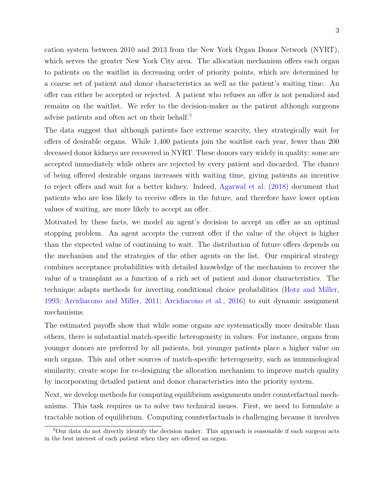3

cation system between 2010 and 2013 from the New York Organ Donor Network (NYRT), which serves the greater New York City area. The allocation mechanism offers each organ to patients on the waitlist in decreasing order of priority points, which are determined by a coarse set of patient and donor characteristics as well as the patient's waiting time. An offer can either be accepted or rejected. A patient who refuses an offer is not penalized and remains on the waitlist. We refer to the decision-maker as the patient although surgeons advise patients and often act on their behalf.<sup>[3](#page-2-0)</sup>

The data suggest that although patients face extreme scarcity, they strategically wait for offers of desirable organs. While 1,400 patients join the waitlist each year, fewer than 200 deceased donor kidneys are recovered in NYRT. These donors vary widely in quality; some are accepted immediately while others are rejected by every patient and discarded. The chance of being offered desirable organs increases with waiting time, giving patients an incentive to reject offers and wait for a better kidney. Indeed, [Agarwal et al.](#page-44-2) [\(2018\)](#page-44-2) document that patients who are less likely to receive offers in the future, and therefore have lower option values of waiting, are more likely to accept an offer.

Motivated by these facts, we model an agent's decision to accept an offer as an optimal stopping problem. An agent accepts the current offer if the value of the object is higher than the expected value of continuing to wait. The distribution of future offers depends on the mechanism and the strategies of the other agents on the list. Our empirical strategy combines acceptance probabilities with detailed knowledge of the mechanism to recover the value of a transplant as a function of a rich set of patient and donor characteristics. The technique adapts methods for inverting conditional choice probabilities [\(Hotz and Miller,](#page-44-3) [1993;](#page-44-3) [Arcidiacono and Miller,](#page-44-4) [2011;](#page-44-4) [Arcidiacono et al.,](#page-44-5) [2016\)](#page-44-5) to suit dynamic assignment mechanisms.

The estimated payoffs show that while some organs are systematically more desirable than others, there is substantial match-specific heterogeneity in values. For instance, organs from younger donors are preferred by all patients, but younger patients place a higher value on such organs. This and other sources of match-specific heterogeneity, such as immunological similarity, create scope for re-designing the allocation mechanism to improve match quality by incorporating detailed patient and donor characteristics into the priority system.

Next, we develop methods for computing equilibrium assignments under counterfactual mechanisms. This task requires us to solve two technical issues. First, we need to formulate a tractable notion of equilibrium. Computing counterfactuals is challenging because it involves

<span id="page-2-0"></span><sup>3</sup>Our data do not directly identify the decision maker. This approach is reasonable if each surgeon acts in the best interest of each patient when they are offered an organ.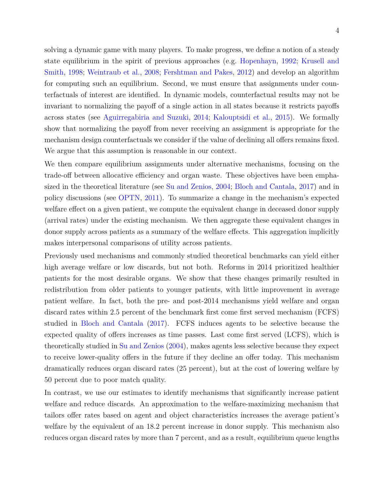solving a dynamic game with many players. To make progress, we define a notion of a steady state equilibrium in the spirit of previous approaches (e.g. [Hopenhayn,](#page-44-6) [1992;](#page-44-6) [Krusell and](#page-45-2) [Smith,](#page-45-2) [1998;](#page-45-2) [Weintraub et al.,](#page-46-2) [2008;](#page-46-2) [Fershtman and Pakes,](#page-44-7) [2012\)](#page-44-7) and develop an algorithm for computing such an equilibrium. Second, we must ensure that assignments under counterfactuals of interest are identified. In dynamic models, counterfactual results may not be invariant to normalizing the payoff of a single action in all states because it restricts payoffs across states (see [Aguirregabiria and Suzuki,](#page-44-8) [2014;](#page-44-8) [Kalouptsidi et al.,](#page-45-3) [2015\)](#page-45-3). We formally show that normalizing the payoff from never receiving an assignment is appropriate for the mechanism design counterfactuals we consider if the value of declining all offers remains fixed. We argue that this assumption is reasonable in our context.

We then compare equilibrium assignments under alternative mechanisms, focusing on the trade-off between allocative efficiency and organ waste. These objectives have been emphasized in the theoretical literature (see [Su and Zenios,](#page-46-1) [2004;](#page-46-1) [Bloch and Cantala,](#page-44-1) [2017\)](#page-44-1) and in policy discussions (see [OPTN,](#page-45-4) [2011\)](#page-45-4). To summarize a change in the mechanism's expected welfare effect on a given patient, we compute the equivalent change in deceased donor supply (arrival rates) under the existing mechanism. We then aggregate these equivalent changes in donor supply across patients as a summary of the welfare effects. This aggregation implicitly makes interpersonal comparisons of utility across patients.

Previously used mechanisms and commonly studied theoretical benchmarks can yield either high average welfare or low discards, but not both. Reforms in 2014 prioritized healthier patients for the most desirable organs. We show that these changes primarily resulted in redistribution from older patients to younger patients, with little improvement in average patient welfare. In fact, both the pre- and post-2014 mechanisms yield welfare and organ discard rates within 2.5 percent of the benchmark first come first served mechanism (FCFS) studied in [Bloch and Cantala](#page-44-1) [\(2017\)](#page-44-1). FCFS induces agents to be selective because the expected quality of offers increases as time passes. Last come first served (LCFS), which is theoretically studied in [Su and Zenios](#page-46-1) [\(2004\)](#page-46-1), makes agents less selective because they expect to receive lower-quality offers in the future if they decline an offer today. This mechanism dramatically reduces organ discard rates (25 percent), but at the cost of lowering welfare by 50 percent due to poor match quality.

In contrast, we use our estimates to identify mechanisms that significantly increase patient welfare and reduce discards. An approximation to the welfare-maximizing mechanism that tailors offer rates based on agent and object characteristics increases the average patient's welfare by the equivalent of an 18.2 percent increase in donor supply. This mechanism also reduces organ discard rates by more than 7 percent, and as a result, equilibrium queue lengths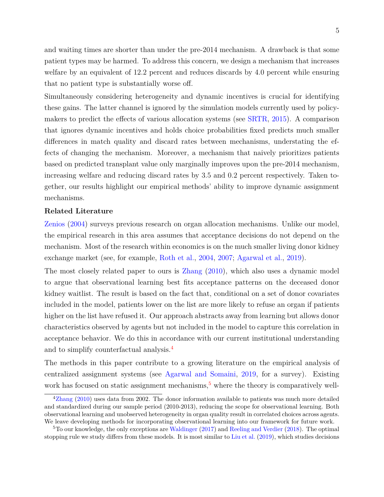and waiting times are shorter than under the pre-2014 mechanism. A drawback is that some patient types may be harmed. To address this concern, we design a mechanism that increases welfare by an equivalent of 12.2 percent and reduces discards by 4.0 percent while ensuring that no patient type is substantially worse off.

Simultaneously considering heterogeneity and dynamic incentives is crucial for identifying these gains. The latter channel is ignored by the simulation models currently used by policymakers to predict the effects of various allocation systems (see [SRTR,](#page-45-5) [2015\)](#page-45-5). A comparison that ignores dynamic incentives and holds choice probabilities fixed predicts much smaller differences in match quality and discard rates between mechanisms, understating the effects of changing the mechanism. Moreover, a mechanism that naively prioritizes patients based on predicted transplant value only marginally improves upon the pre-2014 mechanism, increasing welfare and reducing discard rates by 3.5 and 0.2 percent respectively. Taken together, our results highlight our empirical methods' ability to improve dynamic assignment mechanisms.

#### **Related Literature**

[Zenios](#page-46-3) [\(2004\)](#page-46-3) surveys previous research on organ allocation mechanisms. Unlike our model, the empirical research in this area assumes that acceptance decisions do not depend on the mechanism. Most of the research within economics is on the much smaller living donor kidney exchange market (see, for example, [Roth et al.,](#page-46-4) [2004,](#page-46-4) [2007;](#page-46-5) [Agarwal et al.,](#page-44-9) [2019\)](#page-44-9).

The most closely related paper to ours is [Zhang](#page-46-6) [\(2010\)](#page-46-6), which also uses a dynamic model to argue that observational learning best fits acceptance patterns on the deceased donor kidney waitlist. The result is based on the fact that, conditional on a set of donor covariates included in the model, patients lower on the list are more likely to refuse an organ if patients higher on the list have refused it. Our approach abstracts away from learning but allows donor characteristics observed by agents but not included in the model to capture this correlation in acceptance behavior. We do this in accordance with our current institutional understanding and to simplify counterfactual analysis.[4](#page-4-0)

The methods in this paper contribute to a growing literature on the empirical analysis of centralized assignment systems (see [Agarwal and Somaini,](#page-43-0) [2019,](#page-43-0) for a survey). Existing work has focused on static assignment mechanisms,  $5$  where the theory is comparatively well-

<span id="page-4-0"></span><sup>&</sup>lt;sup>4</sup>[Zhang](#page-46-6) [\(2010\)](#page-46-6) uses data from 2002. The donor information available to patients was much more detailed and standardized during our sample period (2010-2013), reducing the scope for observational learning. Both observational learning and unobserved heterogeneity in organ quality result in correlated choices across agents. We leave developing methods for incorporating observational learning into our framework for future work.

<span id="page-4-1"></span> ${}^{5}$ To our knowledge, the only exceptions are [Waldinger](#page-46-7) [\(2017\)](#page-46-7) and [Reeling and Verdier](#page-45-6) [\(2018\)](#page-45-6). The optimal stopping rule we study differs from these models. It is most similar to [Liu et al.](#page-45-7) [\(2019\)](#page-45-7), which studies decisions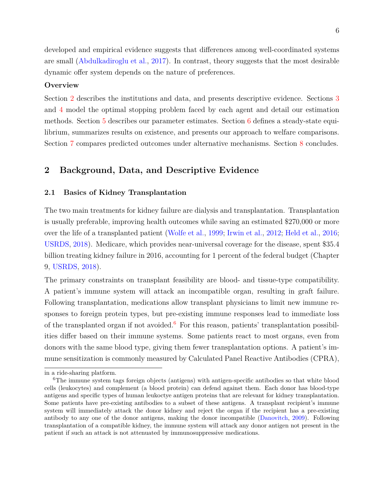developed and empirical evidence suggests that differences among well-coordinated systems are small [\(Abdulkadiroglu et al.,](#page-43-1) [2017\)](#page-43-1). In contrast, theory suggests that the most desirable dynamic offer system depends on the nature of preferences.

## **Overview**

Section [2](#page-5-0) describes the institutions and data, and presents descriptive evidence. Sections [3](#page-13-0) and [4](#page-21-0) model the optimal stopping problem faced by each agent and detail our estimation methods. Section [5](#page-27-0) describes our parameter estimates. Section [6](#page-30-0) defines a steady-state equilibrium, summarizes results on existence, and presents our approach to welfare comparisons. Section [7](#page-34-0) compares predicted outcomes under alternative mechanisms. Section [8](#page-43-2) concludes.

# <span id="page-5-0"></span>**2 Background, Data, and Descriptive Evidence**

## <span id="page-5-2"></span>**2.1 Basics of Kidney Transplantation**

The two main treatments for kidney failure are dialysis and transplantation. Transplantation is usually preferable, improving health outcomes while saving an estimated \$270,000 or more over the life of a transplanted patient [\(Wolfe et al.,](#page-46-0) [1999;](#page-46-0) [Irwin et al.,](#page-45-0) [2012;](#page-45-0) [Held et al.,](#page-44-0) [2016;](#page-44-0) [USRDS,](#page-46-8) [2018\)](#page-46-8). Medicare, which provides near-universal coverage for the disease, spent \$35.4 billion treating kidney failure in 2016, accounting for 1 percent of the federal budget (Chapter 9, [USRDS,](#page-46-8) [2018\)](#page-46-8).

The primary constraints on transplant feasibility are blood- and tissue-type compatibility. A patient's immune system will attack an incompatible organ, resulting in graft failure. Following transplantation, medications allow transplant physicians to limit new immune responses to foreign protein types, but pre-existing immune responses lead to immediate loss of the transplanted organ if not avoided.<sup>[6](#page-5-1)</sup> For this reason, patients' transplantation possibilities differ based on their immune systems. Some patients react to most organs, even from donors with the same blood type, giving them fewer transplantation options. A patient's immune sensitization is commonly measured by Calculated Panel Reactive Antibodies (CPRA),

in a ride-sharing platform.

<span id="page-5-1"></span><sup>6</sup>The immune system tags foreign objects (antigens) with antigen-specific antibodies so that white blood cells (leukocytes) and complement (a blood protein) can defend against them. Each donor has blood-type antigens and specific types of human leukoctye antigen proteins that are relevant for kidney transplantation. Some patients have pre-existing antibodies to a subset of these antigens. A transplant recipient's immune system will immediately attack the donor kidney and reject the organ if the recipient has a pre-existing antibody to any one of the donor antigens, making the donor incompatible [\(Danovitch,](#page-44-10) [2009\)](#page-44-10). Following transplantation of a compatible kidney, the immune system will attack any donor antigen not present in the patient if such an attack is not attenuated by immunosuppressive medications.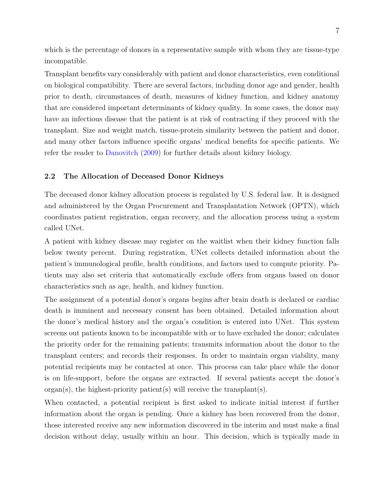which is the percentage of donors in a representative sample with whom they are tissue-type incompatible.

Transplant benefits vary considerably with patient and donor characteristics, even conditional on biological compatibility. There are several factors, including donor age and gender, health prior to death, circumstances of death, measures of kidney function, and kidney anatomy that are considered important determinants of kidney quality. In some cases, the donor may have an infectious disease that the patient is at risk of contracting if they proceed with the transplant. Size and weight match, tissue-protein similarity between the patient and donor, and many other factors influence specific organs' medical benefits for specific patients. We refer the reader to [Danovitch](#page-44-10) [\(2009\)](#page-44-10) for further details about kidney biology.

## <span id="page-6-0"></span>**2.2 The Allocation of Deceased Donor Kidneys**

The deceased donor kidney allocation process is regulated by U.S. federal law. It is designed and administered by the Organ Procurement and Transplantation Network (OPTN), which coordinates patient registration, organ recovery, and the allocation process using a system called UNet.

A patient with kidney disease may register on the waitlist when their kidney function falls below twenty percent. During registration, UNet collects detailed information about the patient's immunological profile, health conditions, and factors used to compute priority. Patients may also set criteria that automatically exclude offers from organs based on donor characteristics such as age, health, and kidney function.

The assignment of a potential donor's organs begins after brain death is declared or cardiac death is imminent and necessary consent has been obtained. Detailed information about the donor's medical history and the organ's condition is entered into UNet. This system screens out patients known to be incompatible with or to have excluded the donor; calculates the priority order for the remaining patients; transmits information about the donor to the transplant centers; and records their responses. In order to maintain organ viability, many potential recipients may be contacted at once. This process can take place while the donor is on life-support, before the organs are extracted. If several patients accept the donor's  $organ(s)$ , the highest-priority patient(s) will receive the transplant(s).

When contacted, a potential recipient is first asked to indicate initial interest if further information about the organ is pending. Once a kidney has been recovered from the donor, those interested receive any new information discovered in the interim and must make a final decision without delay, usually within an hour. This decision, which is typically made in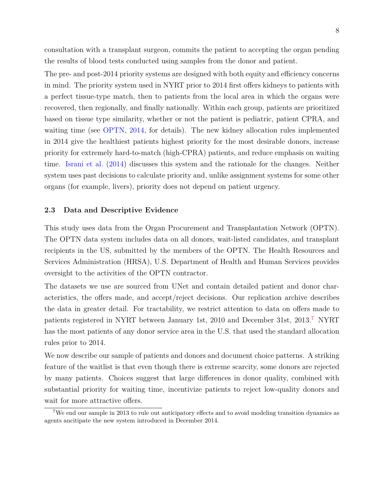consultation with a transplant surgeon, commits the patient to accepting the organ pending the results of blood tests conducted using samples from the donor and patient.

The pre- and post-2014 priority systems are designed with both equity and efficiency concerns in mind. The priority system used in NYRT prior to 2014 first offers kidneys to patients with a perfect tissue-type match, then to patients from the local area in which the organs were recovered, then regionally, and finally nationally. Within each group, patients are prioritized based on tissue type similarity, whether or not the patient is pediatric, patient CPRA, and waiting time (see [OPTN,](#page-45-8) [2014,](#page-45-8) for details). The new kidney allocation rules implemented in 2014 give the healthiest patients highest priority for the most desirable donors, increase priority for extremely hard-to-match (high-CPRA) patients, and reduce emphasis on waiting time. [Israni et al.](#page-45-9) [\(2014\)](#page-45-9) discusses this system and the rationale for the changes. Neither system uses past decisions to calculate priority and, unlike assignment systems for some other organs (for example, livers), priority does not depend on patient urgency.

#### **2.3 Data and Descriptive Evidence**

This study uses data from the Organ Procurement and Transplantation Network (OPTN). The OPTN data system includes data on all donors, wait-listed candidates, and transplant recipients in the US, submitted by the members of the OPTN. The Health Resources and Services Administration (HRSA), U.S. Department of Health and Human Services provides oversight to the activities of the OPTN contractor.

The datasets we use are sourced from UNet and contain detailed patient and donor characteristics, the offers made, and accept/reject decisions. Our replication archive describes the data in greater detail. For tractability, we restrict attention to data on offers made to patients registered in NYRT between January 1st, 2010 and December 31st, 2013.[7](#page-7-0) NYRT has the most patients of any donor service area in the U.S. that used the standard allocation rules prior to 2014.

We now describe our sample of patients and donors and document choice patterns. A striking feature of the waitlist is that even though there is extreme scarcity, some donors are rejected by many patients. Choices suggest that large differences in donor quality, combined with substantial priority for waiting time, incentivize patients to reject low-quality donors and wait for more attractive offers.

<span id="page-7-0"></span><sup>7</sup>We end our sample in 2013 to rule out anticipatory effects and to avoid modeling transition dynamics as agents ancitipate the new system introduced in December 2014.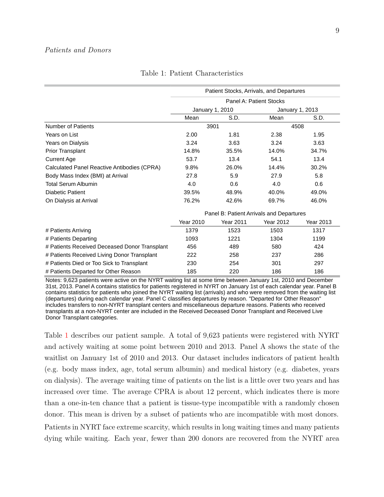<span id="page-8-0"></span>

|                                               | Patient Stocks, Arrivals, and Departures |                                          |                         |                 |  |  |  |  |
|-----------------------------------------------|------------------------------------------|------------------------------------------|-------------------------|-----------------|--|--|--|--|
|                                               |                                          |                                          | Panel A: Patient Stocks |                 |  |  |  |  |
|                                               |                                          | January 1, 2010                          |                         | January 1, 2013 |  |  |  |  |
|                                               | Mean                                     | S.D.                                     | Mean                    | S.D.            |  |  |  |  |
| <b>Number of Patients</b>                     |                                          | 3901                                     |                         | 4508            |  |  |  |  |
| Years on List                                 | 2.00                                     | 1.81                                     | 2.38                    | 1.95            |  |  |  |  |
| Years on Dialysis                             | 3.24                                     | 3.63                                     | 3.24                    | 3.63            |  |  |  |  |
| <b>Prior Transplant</b>                       | 14.8%                                    | 35.5%                                    | 14.0%                   | 34.7%           |  |  |  |  |
| <b>Current Age</b>                            | 53.7                                     | 13.4                                     | 54.1                    | 13.4            |  |  |  |  |
| Calculated Panel Reactive Antibodies (CPRA)   | 9.8%                                     | 26.0%                                    | 14.4%                   | 30.2%           |  |  |  |  |
| Body Mass Index (BMI) at Arrival              | 27.8                                     | 5.9                                      | 27.9                    | 5.8             |  |  |  |  |
| <b>Total Serum Albumin</b>                    | 4.0                                      | 0.6                                      | 4.0                     | 0.6             |  |  |  |  |
| <b>Diabetic Patient</b>                       | 39.5%                                    | 48.9%                                    | 40.0%                   | 49.0%           |  |  |  |  |
| On Dialysis at Arrival                        | 76.2%                                    | 42.6%                                    | 69.7%                   | 46.0%           |  |  |  |  |
|                                               |                                          | Panel B: Patient Arrivals and Departures |                         |                 |  |  |  |  |
|                                               | <b>Year 2010</b>                         | Year 2011                                | <b>Year 2012</b>        | Year 2013       |  |  |  |  |
| # Patients Arriving                           | 1379                                     | 1523                                     | 1503                    | 1317            |  |  |  |  |
| # Patients Departing                          | 1093                                     | 1221                                     | 1304                    | 1199            |  |  |  |  |
| # Patients Received Deceased Donor Transplant | 456                                      | 489                                      | 580                     | 424             |  |  |  |  |
| # Patients Received Living Donor Transplant   | 222                                      | 258                                      | 237                     | 286             |  |  |  |  |
| # Patients Died or Too Sick to Transplant     | 230                                      | 254                                      | 301                     | 297             |  |  |  |  |
| # Patients Departed for Other Reason          | 185                                      | 220                                      | 186                     | 186             |  |  |  |  |

Table 1: Patient Characteristics

Notes: 9,623 patients were active on the NYRT waiting list at some time between January 1st, 2010 and December 31st, 2013. Panel A contains statistics for patients registered in NYRT on January 1st of each calendar year. Panel B contains statistics for patients who joined the NYRT waiting list (arrivals) and who were removed from the waiting list (departures) during each calendar year. Panel C classifies departures by reason. "Departed for Other Reason" includes transfers to non-NYRT transplant centers and miscellaneous departure reasons. Patients who received transplants at a non-NYRT center are included in the Received Deceased Donor Transplant and Received Live Donor Transplant categories.

Table [1](#page-8-0) describes our patient sample. A total of 9,623 patients were registered with NYRT and actively waiting at some point between 2010 and 2013. Panel A shows the state of the waitlist on January 1st of 2010 and 2013. Our dataset includes indicators of patient health (e.g. body mass index, age, total serum albumin) and medical history (e.g. diabetes, years on dialysis). The average waiting time of patients on the list is a little over two years and has increased over time. The average CPRA is about 12 percent, which indicates there is more than a one-in-ten chance that a patient is tissue-type incompatible with a randomly chosen donor. This mean is driven by a subset of patients who are incompatible with most donors. Patients in NYRT face extreme scarcity, which results in long waiting times and many patients dying while waiting. Each year, fewer than 200 donors are recovered from the NYRT area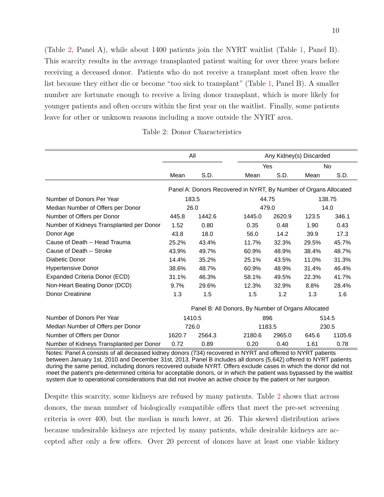(Table [2,](#page-9-0) Panel A), while about 1400 patients join the NYRT waitlist (Table [1,](#page-8-0) Panel B). This scarcity results in the average transplanted patient waiting for over three years before receiving a deceased donor. Patients who do not receive a transplant most often leave the list because they either die or become "too sick to transplant" (Table [1,](#page-8-0) Panel B). A smaller number are fortunate enough to receive a living donor transplant, which is more likely for younger patients and often occurs within the first year on the waitlist. Finally, some patients leave for other or unknown reasons including a move outside the NYRT area.

Table 2: Donor Characteristics

<span id="page-9-0"></span>

|                                          |        | All    |                                                    | Any Kidney(s) Discarded |       |                                                                                                                                                                                                                                |
|------------------------------------------|--------|--------|----------------------------------------------------|-------------------------|-------|--------------------------------------------------------------------------------------------------------------------------------------------------------------------------------------------------------------------------------|
|                                          |        |        |                                                    | Yes                     |       |                                                                                                                                                                                                                                |
|                                          | Mean   | S.D.   | Mean                                               | S.D.                    | Mean  | N <sub>0</sub><br>S.D.<br>Panel A: Donors Recovered in NYRT, By Number of Organs Allocated<br>138.75<br>14.0<br>346.1<br>0.43<br>17.3<br>45.7%<br>48.7%<br>31.3%<br>46.4%<br>41.7%<br>28.4%<br>1.6<br>514.5<br>230.5<br>1105.6 |
|                                          |        |        |                                                    |                         |       |                                                                                                                                                                                                                                |
| Number of Donors Per Year                |        | 183.5  |                                                    | 44.75                   |       |                                                                                                                                                                                                                                |
| Median Number of Offers per Donor        |        | 26.0   |                                                    | 479.0                   |       |                                                                                                                                                                                                                                |
| Number of Offers per Donor               | 445.8  | 1442.6 | 1445.0                                             | 2620.9                  | 123.5 |                                                                                                                                                                                                                                |
| Number of Kidneys Transplanted per Donor | 1.52   | 0.80   | 0.35                                               | 0.48                    | 1.90  |                                                                                                                                                                                                                                |
| Donor Age                                | 43.8   | 18.0   | 56.0                                               | 14.2                    | 39.9  |                                                                                                                                                                                                                                |
| Cause of Death -- Head Trauma            | 25.2%  | 43.4%  | 11.7%                                              | 32.3%                   | 29.5% |                                                                                                                                                                                                                                |
| Cause of Death -- Stroke                 | 43.9%  | 49.7%  | 60.9%                                              | 48.9%                   | 38.4% |                                                                                                                                                                                                                                |
| Diabetic Donor                           | 14.4%  | 35.2%  | 25.1%                                              | 43.5%                   | 11.0% |                                                                                                                                                                                                                                |
| <b>Hypertensive Donor</b>                | 38.6%  | 48.7%  | 60.9%                                              | 48.9%                   | 31.4% |                                                                                                                                                                                                                                |
| Expanded Criteria Donor (ECD)            | 31.1%  | 46.3%  | 58.1%                                              | 49.5%                   | 22.3% |                                                                                                                                                                                                                                |
| Non-Heart Beating Donor (DCD)            | 9.7%   | 29.6%  | 12.3%                                              | 32.9%                   | 8.8%  |                                                                                                                                                                                                                                |
| Donor Creatinine                         | 1.3    | 1.5    | 1.5                                                | 1.2                     | 1.3   |                                                                                                                                                                                                                                |
|                                          |        |        | Panel B: All Donors, By Number of Organs Allocated |                         |       |                                                                                                                                                                                                                                |
| Number of Donors Per Year                |        | 1410.5 |                                                    | 896                     |       |                                                                                                                                                                                                                                |
| Median Number of Offers per Donor        |        | 726.0  |                                                    | 1183.5                  |       |                                                                                                                                                                                                                                |
| Number of Offers per Donor               | 1620.7 | 2564.3 | 2180.6                                             | 2965.0                  | 645.6 |                                                                                                                                                                                                                                |
| Number of Kidneys Transplanted per Donor | 0.72   | 0.89   | 0.20                                               | 0.40                    | 1.61  | 0.78                                                                                                                                                                                                                           |

Notes: Panel A consists of all deceased kidney donors (734) recovered in NYRT and offered to NYRT patients between January 1st, 2010 and December 31st, 2013. Panel B includes all donors (5,642) offered to NYRT patients during the same period, including donors recovered outside NYRT. Offers exclude cases in which the donor did not meet the patient's pre-determined criteria for acceptable donors, or in which the patient was bypassed by the waitlist system due to operational considerations that did not involve an active choice by the patient or her surgeon.

Despite this scarcity, some kidneys are refused by many patients. Table [2](#page-9-0) shows that across donors, the mean number of biologically compatible offers that meet the pre-set screening criteria is over 400, but the median is much lower, at 26. This skewed distribution arises because undesirable kidneys are rejected by many patients, while desirable kidneys are accepted after only a few offers. Over 20 percent of donors have at least one viable kidney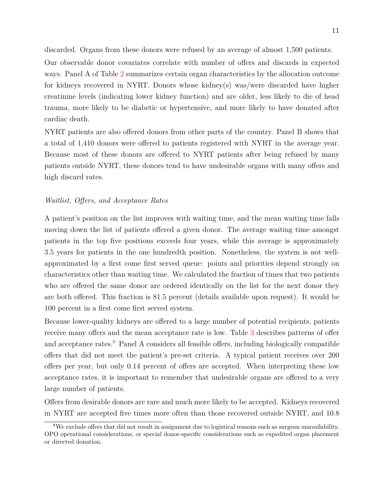discarded. Organs from these donors were refused by an average of almost 1,500 patients.

Our observable donor covariates correlate with number of offers and discards in expected ways. Panel A of Table [2](#page-9-0) summarizes certain organ characteristics by the allocation outcome for kidneys recovered in NYRT. Donors whose kidney(s) was/were discarded have higher creatinine levels (indicating lower kidney function) and are older, less likely to die of head trauma, more likely to be diabetic or hypertensive, and more likely to have donated after cardiac death.

NYRT patients are also offered donors from other parts of the country. Panel B shows that a total of 1,410 donors were offered to patients registered with NYRT in the average year. Because most of these donors are offered to NYRT patients after being refused by many patients outside NYRT, these donors tend to have undesirable organs with many offers and high discard rates.

## *Waitlist, Offers, and Acceptance Rates*

A patient's position on the list improves with waiting time, and the mean waiting time falls moving down the list of patients offered a given donor. The average waiting time amongst patients in the top five positions exceeds four years, while this average is approximately 3.5 years for patients in the one hundredth position. Nonetheless, the system is not wellapproximated by a first come first served queue: points and priorities depend strongly on characteristics other than waiting time. We calculated the fraction of times that two patients who are offered the same donor are ordered identically on the list for the next donor they are both offered. This fraction is 81.5 percent (details available upon request). It would be 100 percent in a first come first served system.

Because lower-quality kidneys are offered to a large number of potential recipients, patients receive many offers and the mean acceptance rate is low. Table [3](#page-11-0) describes patterns of offer and acceptance rates.<sup>[8](#page-10-0)</sup> Panel A considers all feasible offers, including biologically compatible offers that did not meet the patient's pre-set criteria. A typical patient receives over 200 offers per year, but only 0.14 percent of offers are accepted. When interpreting these low acceptance rates, it is important to remember that undesirable organs are offered to a very large number of patients.

Offers from desirable donors are rare and much more likely to be accepted. Kidneys recovered in NYRT are accepted five times more often than those recovered outside NYRT, and 10.8

<span id="page-10-0"></span><sup>8</sup>We exclude offers that did not result in assignment due to logistical reasons such as surgeon unavailability, OPO operational considerations, or special donor-specific considerations such as expedited organ placement or directed donation.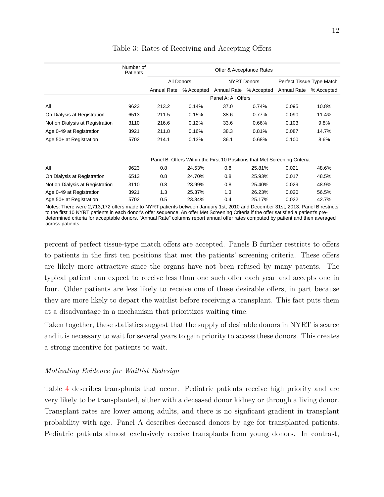<span id="page-11-0"></span>

|                                 | Number of<br>Patients |             | Offer & Acceptance Rates |                        |                    |                                                                           |            |  |  |  |
|---------------------------------|-----------------------|-------------|--------------------------|------------------------|--------------------|---------------------------------------------------------------------------|------------|--|--|--|
|                                 |                       |             | All Donors               |                        | <b>NYRT Donors</b> | Perfect Tissue Type Match                                                 |            |  |  |  |
|                                 |                       | Annual Rate | % Accepted               | Annual Rate % Accepted |                    | Annual Rate                                                               | % Accepted |  |  |  |
|                                 |                       |             |                          | Panel A: All Offers    |                    |                                                                           |            |  |  |  |
| All                             | 9623                  | 213.2       | 0.14%                    | 37.0                   | 0.74%              | 0.095                                                                     | 10.8%      |  |  |  |
| On Dialysis at Registration     | 6513                  | 211.5       | 0.15%                    | 38.6                   | 0.77%              | 0.090                                                                     | 11.4%      |  |  |  |
| Not on Dialysis at Registration | 3110                  | 216.6       | 0.12%                    | 33.6                   | 0.66%              | 0.103                                                                     | 9.8%       |  |  |  |
| Age 0-49 at Registration        | 3921                  | 211.8       | 0.16%                    | 38.3                   | 0.81%              | 0.087                                                                     | 14.7%      |  |  |  |
| Age 50+ at Registration         | 5702                  | 214.1       | 0.13%                    | 36.1                   | 0.68%              | 0.100                                                                     | 8.6%       |  |  |  |
|                                 |                       |             |                          |                        |                    | Panel B: Offers Within the First 10 Positions that Met Screening Criteria |            |  |  |  |
| All                             | 9623                  | 0.8         | 24.53%                   | 0.8                    | 25.81%             | 0.021                                                                     | 48.6%      |  |  |  |
| On Dialysis at Registration     | 6513                  | 0.8         | 24.70%                   | 0.8                    | 25.93%             | 0.017                                                                     | 48.5%      |  |  |  |
| Not on Dialysis at Registration | 3110                  | 0.8         | 23.99%                   | 0.8                    | 25.40%             | 0.029                                                                     | 48.9%      |  |  |  |
| Age 0-49 at Registration        | 3921                  | 1.3         | 25.37%                   | 1.3                    | 26.23%             | 0.020                                                                     | 56.5%      |  |  |  |
| Age 50+ at Registration         | 5702                  | 0.5         | 23.34%                   | 0.4                    | 25.17%             | 0.022                                                                     | 42.7%      |  |  |  |

## Table 3: Rates of Receiving and Accepting Offers

Notes: There were 2,713,172 offers made to NYRT patients between January 1st, 2010 and December 31st, 2013. Panel B restricts to the first 10 NYRT patients in each donor's offer sequence. An offer Met Screening Criteria if the offer satisfied a patient's predetermined criteria for acceptable donors. "Annual Rate" columns report annual offer rates computed by patient and then averaged across patients.

percent of perfect tissue-type match offers are accepted. Panels B further restricts to offers to patients in the first ten positions that met the patients' screening criteria. These offers are likely more attractive since the organs have not been refused by many patents. The typical patient can expect to receive less than one such offer each year and accepts one in four. Older patients are less likely to receive one of these desirable offers, in part because they are more likely to depart the waitlist before receiving a transplant. This fact puts them at a disadvantage in a mechanism that prioritizes waiting time.

Taken together, these statistics suggest that the supply of desirable donors in NYRT is scarce and it is necessary to wait for several years to gain priority to access these donors. This creates a strong incentive for patients to wait.

## *Motivating Evidence for Waitlist Redesign*

very likely to be transplanted, either with a deceased donor kidney or through a living donor. Table [4](#page-12-0) describes transplants that occur. Pediatric patients receive high priority and are Transplant rates are lower among adults, and there is no signficant gradient in transplant probability with age. Panel A describes deceased donors by age for transplanted patients. Pediatric patients almost exclusively receive transplants from young donors. In contrast,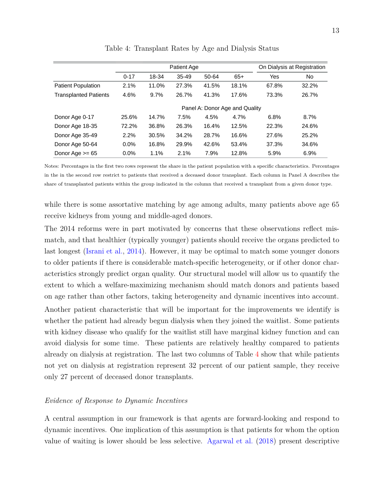<span id="page-12-0"></span>

|                              |          |       | Patient Age |       |                                |       | On Dialysis at Registration |
|------------------------------|----------|-------|-------------|-------|--------------------------------|-------|-----------------------------|
|                              | $0 - 17$ | 18-34 | $35 - 49$   | 50-64 | $65+$                          | Yes   | No                          |
| <b>Patient Population</b>    | 2.1%     | 11.0% | 27.3%       | 41.5% | 18.1%                          | 67.8% | 32.2%                       |
| <b>Transplanted Patients</b> | 4.6%     | 9.7%  | 26.7%       | 41.3% | 17.6%                          | 73.3% | 26.7%                       |
|                              |          |       |             |       | Panel A: Donor Age and Quality |       |                             |
| Donor Age 0-17               | 25.6%    | 14.7% | 7.5%        | 4.5%  | 4.7%                           | 6.8%  | 8.7%                        |
| Donor Age 18-35              | 72.2%    | 36.8% | 26.3%       | 16.4% | 12.5%                          | 22.3% | 24.6%                       |
| Donor Age 35-49              | 2.2%     | 30.5% | 34.2%       | 28.7% | 16.6%                          | 27.6% | 25.2%                       |
| Donor Age 50-64              | $0.0\%$  | 16.8% | 29.9%       | 42.6% | 53.4%                          | 37.3% | 34.6%                       |
| Donor Age $>= 65$            | $0.0\%$  | 1.1%  | 2.1%        | 7.9%  | 12.8%                          | 5.9%  | 6.9%                        |

Table 4: Transplant Rates by Age and Dialysis Status

Notes: Percentages in the first two rows represent the share in the patient population with a specific characteristics. Percentages in the in the second row restrict to patients that received a deceased donor transplant. Each column in Panel A describes the share of transplanted patients within the group indicated in the column that received a transplant from a given donor type.

while there is some assortative matching by age among adults, many patients above age 65 receive kidneys from young and middle-aged donors.

The 2014 reforms were in part motivated by concerns that these observations reflect mismatch, and that healthier (typically younger) patients should receive the organs predicted to last longest [\(Israni et al.,](#page-45-9) [2014\)](#page-45-9). However, it may be optimal to match some younger donors to older patients if there is considerable match-specific heterogeneity, or if other donor characteristics strongly predict organ quality. Our structural model will allow us to quantify the extent to which a welfare-maximizing mechanism should match donors and patients based on age rather than other factors, taking heterogeneity and dynamic incentives into account. Another patient characteristic that will be important for the improvements we identify is whether the patient had already begun dialysis when they joined the waitlist. Some patients with kidney disease who qualify for the waitlist still have marginal kidney function and can avoid dialysis for some time. These patients are relatively healthy compared to patients already on dialysis at registration. The last two columns of Table [4](#page-12-0) show that while patients not yet on dialysis at registration represent 32 percent of our patient sample, they receive only 27 percent of deceased donor transplants.

## *Evidence of Response to Dynamic Incentives*

A central assumption in our framework is that agents are forward-looking and respond to dynamic incentives. One implication of this assumption is that patients for whom the option value of waiting is lower should be less selective. [Agarwal et al.](#page-44-2) [\(2018\)](#page-44-2) present descriptive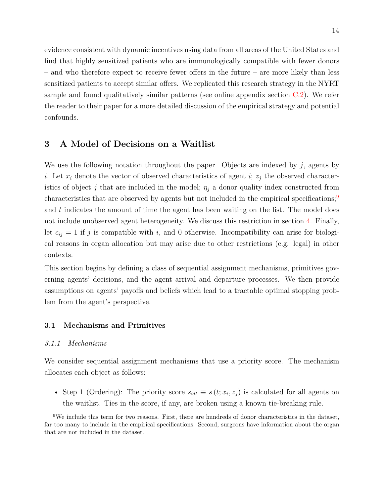evidence consistent with dynamic incentives using data from all areas of the United States and find that highly sensitized patients who are immunologically compatible with fewer donors – and who therefore expect to receive fewer offers in the future – are more likely than less sensitized patients to accept similar offers. We replicated this research strategy in the NYRT sample and found qualitatively similar patterns (see online appendix section [C.2\)](#page-16-0). We refer the reader to their paper for a more detailed discussion of the empirical strategy and potential confounds.

## <span id="page-13-0"></span>**3 A Model of Decisions on a Waitlist**

We use the following notation throughout the paper. Objects are indexed by *j*, agents by *i*. Let  $x_i$  denote the vector of observed characteristics of agent *i*;  $z_j$  the observed characteristics of object *j* that are included in the model;  $\eta_j$  a donor quality index constructed from characteristics that are observed by agents but not included in the empirical specifications;<sup>[9](#page-13-1)</sup> and *t* indicates the amount of time the agent has been waiting on the list. The model does not include unobserved agent heterogeneity. We discuss this restriction in section [4.](#page-21-0) Finally, let  $c_{ij} = 1$  if *j* is compatible with *i*, and 0 otherwise. Incompatibility can arise for biological reasons in organ allocation but may arise due to other restrictions (e.g. legal) in other contexts.

This section begins by defining a class of sequential assignment mechanisms, primitives governing agents' decisions, and the agent arrival and departure processes. We then provide assumptions on agents' payoffs and beliefs which lead to a tractable optimal stopping problem from the agent's perspective.

## **3.1 Mechanisms and Primitives**

#### *3.1.1 Mechanisms*

We consider sequential assignment mechanisms that use a priority score. The mechanism allocates each object as follows:

• Step 1 (Ordering): The priority score  $s_{ijt} \equiv s(t; x_i, z_j)$  is calculated for all agents on the waitlist. Ties in the score, if any, are broken using a known tie-breaking rule.

<span id="page-13-1"></span> $9$ We include this term for two reasons. First, there are hundreds of donor characteristics in the dataset, far too many to include in the empirical specifications. Second, surgeons have information about the organ that are not included in the dataset.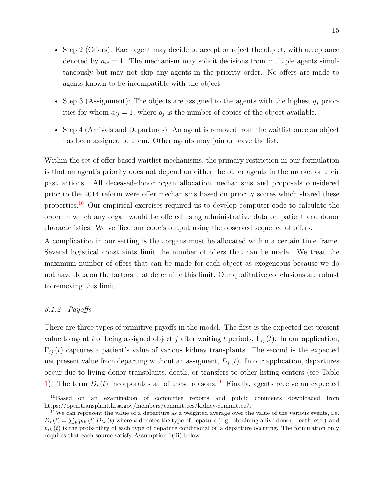- Step 2 (Offers): Each agent may decide to accept or reject the object, with acceptance denoted by  $a_{ij} = 1$ . The mechanism may solicit decisions from multiple agents simultaneously but may not skip any agents in the priority order. No offers are made to agents known to be incompatible with the object.
- Step 3 (Assignment): The objects are assigned to the agents with the highest  $q_i$  priorities for whom  $a_{ij} = 1$ , where  $q_j$  is the number of copies of the object available.
- Step 4 (Arrivals and Departures): An agent is removed from the waitlist once an object has been assigned to them. Other agents may join or leave the list.

Within the set of offer-based waitlist mechanisms, the primary restriction in our formulation is that an agent's priority does not depend on either the other agents in the market or their past actions. All deceased-donor organ allocation mechanisms and proposals considered prior to the 2014 reform were offer mechanisms based on priority scores which shared these properties.<sup>[10](#page-14-0)</sup> Our empirical exercises required us to develop computer code to calculate the order in which any organ would be offered using administrative data on patient and donor characteristics. We verified our code's output using the observed sequence of offers.

A complication in our setting is that organs must be allocated within a certain time frame. Several logistical constraints limit the number of offers that can be made. We treat the maximum number of offers that can be made for each object as exogeneous because we do not have data on the factors that determine this limit. Our qualitative conclusions are robust to removing this limit.

## *3.1.2 Payoffs*

There are three types of primitive payoffs in the model. The first is the expected net present value to agent *i* of being assigned object *j* after waiting *t* periods,  $\Gamma_{ij}(t)$ . In our application,  $\Gamma_{ij}(t)$  captures a patient's value of various kidney transplants. The second is the expected net present value from departing without an assigment,  $D_i(t)$ . In our application, departures occur due to living donor transplants, death, or transfers to other listing centers (see Table [1\)](#page-8-0). The term  $D_i(t)$  incorporates all of these reasons.<sup>[11](#page-14-1)</sup> Finally, agents receive an expected

<span id="page-14-0"></span><sup>10</sup>Based on an examination of committee reports and public comments downloaded from https://optn.transplant.hrsa.gov/members/committees/kidney-committee/.

<span id="page-14-1"></span> $11$ We can represent the value of a departure as a weighted average over the value of the various events, i.e.  $D_i(t) = \sum_k p_{ik}(t) D_{ik}(t)$  where *k* denotes the type of depature (e.g. obtaining a live donor, death, etc.) and  $p_{ik}(t)$  is the probability of each type of depature conditional on a departure occuring. The formulation only requires that each source satisfy Assumption [1\(](#page-15-0)iii) below.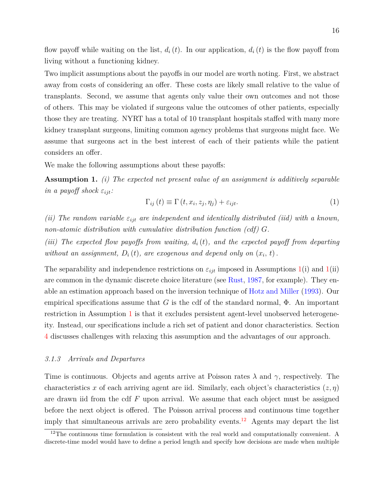flow payoff while waiting on the list,  $d_i(t)$ . In our application,  $d_i(t)$  is the flow payoff from living without a functioning kidney.

Two implicit assumptions about the payoffs in our model are worth noting. First, we abstract away from costs of considering an offer. These costs are likely small relative to the value of transplants. Second, we assume that agents only value their own outcomes and not those of others. This may be violated if surgeons value the outcomes of other patients, especially those they are treating. NYRT has a total of 10 transplant hospitals staffed with many more kidney transplant surgeons, limiting common agency problems that surgeons might face. We assume that surgeons act in the best interest of each of their patients while the patient considers an offer.

We make the following assumptions about these payoffs:

<span id="page-15-0"></span>**Assumption 1.** *(i) The expected net present value of an assignment is additively separable in a payoff shock*  $\varepsilon_{ijt}$ *:* 

<span id="page-15-2"></span>
$$
\Gamma_{ij}(t) \equiv \Gamma(t, x_i, z_j, \eta_j) + \varepsilon_{ijt}.
$$
\n(1)

*(ii)* The random variable  $\varepsilon_{ijt}$  are independent and identically distributed *(iid)* with a known, *non-atomic distribution with cumulative distribution function (cdf) G.*

*(iii) The expected flow payoffs from waiting, d<sup>i</sup>* (*t*)*, and the expected payoff from departing without an assignment,*  $D_i(t)$ *, are exogenous and depend only on*  $(x_i, t)$ *.* 

The separability and independence restrictions on  $\varepsilon_{ijt}$  imposed in Assumptions [1\(](#page-15-0)i) and 1(ii) are common in the dynamic discrete choice literature (see [Rust,](#page-46-9) [1987,](#page-46-9) for example). They enable an estimation approach based on the inversion technique of [Hotz and Miller](#page-44-3) [\(1993\)](#page-44-3). Our empirical specifications assume that  $G$  is the cdf of the standard normal,  $\Phi$ . An important restriction in Assumption [1](#page-15-0) is that it excludes persistent agent-level unobserved heterogeneity. Instead, our specifications include a rich set of patient and donor characteristics. Section [4](#page-21-0) discusses challenges with relaxing this assumption and the advantages of our approach.

## *3.1.3 Arrivals and Departures*

Time is continuous. Objects and agents arrive at Poisson rates *λ* and *γ*, respectively. The characteristics *x* of each arriving agent are iid. Similarly, each object's characteristics  $(z, \eta)$ are drawn iid from the cdf *F* upon arrival. We assume that each object must be assigned before the next object is offered. The Poisson arrival process and continuous time together imply that simultaneous arrivals are zero probability events.<sup>[12](#page-15-1)</sup> Agents may depart the list

<span id="page-15-1"></span> $12$ The continuous time formulation is consistent with the real world and computationally convenient. A discrete-time model would have to define a period length and specify how decisions are made when multiple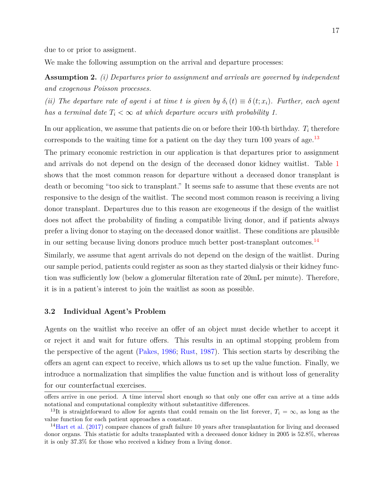due to or prior to assigment.

We make the following assumption on the arrival and departure processes:

<span id="page-16-3"></span>**Assumption 2.** *(i) Departures prior to assignment and arrivals are governed by independent and exogenous Poisson processes.*

*(ii)* The departure rate of agent *i* at time *t* is given by  $\delta_i(t) \equiv \delta(t; x_i)$ . Further, each agent *has a terminal date*  $T_i < \infty$  *at which departure occurs with probability 1.* 

In our application, we assume that patients die on or before their 100-th birthday. *T<sup>i</sup>* therefore corresponds to the waiting time for a patient on the day they turn  $100$  years of age.<sup>[13](#page-16-1)</sup>

The primary economic restriction in our application is that departures prior to assignment and arrivals do not depend on the design of the deceased donor kidney waitlist. Table [1](#page-8-0) shows that the most common reason for departure without a deceased donor transplant is death or becoming "too sick to transplant." It seems safe to assume that these events are not responsive to the design of the waitlist. The second most common reason is receiving a living donor transplant. Departures due to this reason are exogeneous if the design of the waitlist does not affect the probability of finding a compatible living donor, and if patients always prefer a living donor to staying on the deceased donor waitlist. These conditions are plausible in our setting because living donors produce much better post-transplant outcomes.[14](#page-16-2)

Similarly, we assume that agent arrivals do not depend on the design of the waitlist. During our sample period, patients could register as soon as they started dialysis or their kidney function was sufficiently low (below a glomerular filteration rate of 20mL per minute). Therefore, it is in a patient's interest to join the waitlist as soon as possible.

#### <span id="page-16-0"></span>**3.2 Individual Agent's Problem**

Agents on the waitlist who receive an offer of an object must decide whether to accept it or reject it and wait for future offers. This results in an optimal stopping problem from the perspective of the agent [\(Pakes,](#page-45-10) [1986;](#page-45-10) [Rust,](#page-46-9) [1987\)](#page-46-9). This section starts by describing the offers an agent can expect to receive, which allows us to set up the value function. Finally, we introduce a normalization that simplifies the value function and is without loss of generality for our counterfactual exercises.

offers arrive in one period. A time interval short enough so that only one offer can arrive at a time adds notational and computational complexity without substantitive differences.

<span id="page-16-1"></span><sup>&</sup>lt;sup>13</sup>It is straightforward to allow for agents that could remain on the list forever,  $T_i = \infty$ , as long as the value function for each patient approaches a constant.

<span id="page-16-2"></span><sup>&</sup>lt;sup>14</sup>[Hart et al.](#page-44-11) [\(2017\)](#page-44-11) compare chances of graft failure 10 years after transplantation for living and deceased donor organs. This statistic for adults transplanted with a deceased donor kidney in 2005 is 52.8%, whereas it is only 37.3% for those who received a kidney from a living donor.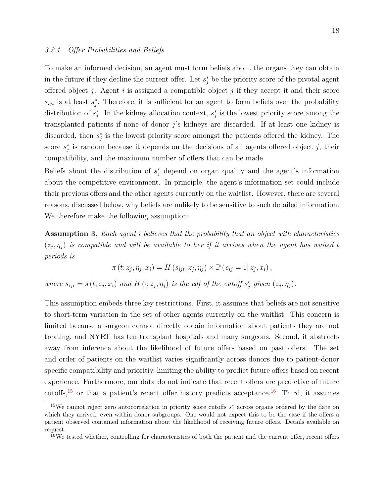To make an informed decision, an agent must form beliefs about the organs they can obtain in the future if they decline the current offer. Let  $s_j^*$  be the priority score of the pivotal agent offered object *j*. Agent *i* is assigned a compatible object *j* if they accept it and their score  $s_{ijt}$  is at least  $s_j^*$ . Therefore, it is sufficient for an agent to form beliefs over the probability distribution of  $s_j^*$ . In the kidney allocation context,  $s_j^*$  is the lowest priority score among the transplanted patients if none of donor *j*'s kidneys are discarded. If at least one kidney is discarded, then  $s_j^*$  is the lowest priority score amongst the patients offered the kidney. The score  $s_j^*$  is random because it depends on the decisions of all agents offered object  $j$ , their compatibility, and the maximum number of offers that can be made.

Beliefs about the distribution of  $s_j^*$  depend on organ quality and the agent's information about the competitive environment. In principle, the agent's information set could include their previous offers and the other agents currently on the waitlist. However, there are several reasons, discussed below, why beliefs are unlikely to be sensitive to such detailed information. We therefore make the following assumption:

<span id="page-17-2"></span>**Assumption 3.** *Each agent i believes that the probability that an object with characteristics*  $(z_j, \eta_j)$  is compatible and will be available to her if it arrives when the agent has waited to *periods is*

$$
\pi(t; z_j, \eta_j, x_i) = H(s_{ijt}; z_j, \eta_j) \times \mathbb{P}(c_{ij} = 1 | z_j, x_i),
$$

where  $s_{ijt} = s(t; z_j, x_i)$  and  $H(\cdot; z_j, \eta_j)$  is the cdf of the cutoff  $s_j^*$  given  $(z_j, \eta_j)$ .

This assumption embeds three key restrictions. First, it assumes that beliefs are not sensitive to short-term variation in the set of other agents currently on the waitlist. This concern is limited because a surgeon cannot directly obtain information about patients they are not treating, and NYRT has ten transplant hospitals and many surgeons. Second, it abstracts away from inference about the likelihood of future offers based on past offers. The set and order of patients on the waitlist varies significantly across donors due to patient-donor specific compatibility and prioritiy, limiting the ability to predict future offers based on recent experience. Furthermore, our data do not indicate that recent offers are predictive of future cutoffs,<sup>[15](#page-17-0)</sup> or that a patient's recent offer history predicts acceptance.<sup>[16](#page-17-1)</sup> Third, it assumes

<span id="page-17-0"></span><sup>&</sup>lt;sup>15</sup>We cannot reject zero autocorrelation in priority score cutoffs  $s_j^*$  across organs ordered by the date on which they arrived, even within donor subgroups. One would not expect this to be the case if the offers a patient observed contained information about the likelihood of receiving future offers. Details available on request.

<span id="page-17-1"></span><sup>&</sup>lt;sup>16</sup>We tested whether, controlling for characteristics of both the patient and the current offer, recent offers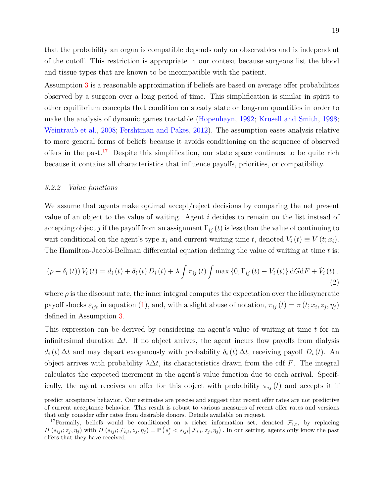that the probability an organ is compatible depends only on observables and is independent of the cutoff. This restriction is appropriate in our context because surgeons list the blood and tissue types that are known to be incompatible with the patient.

Assumption [3](#page-17-2) is a reasonable approximation if beliefs are based on average offer probabilities observed by a surgeon over a long period of time. This simplification is similar in spirit to other equilibrium concepts that condition on steady state or long-run quantities in order to make the analysis of dynamic games tractable [\(Hopenhayn,](#page-44-6) [1992;](#page-44-6) [Krusell and Smith,](#page-45-2) [1998;](#page-45-2) [Weintraub et al.,](#page-46-2) [2008;](#page-46-2) [Fershtman and Pakes,](#page-44-7) [2012\)](#page-44-7). The assumption eases analysis relative to more general forms of beliefs because it avoids conditioning on the sequence of observed offers in the past.<sup>[17](#page-18-0)</sup> Despite this simplification, our state space continues to be quite rich because it contains all characteristics that influence payoffs, priorities, or compatibility.

## *3.2.2 Value functions*

We assume that agents make optimal accept/reject decisions by comparing the net present value of an object to the value of waiting. Agent *i* decides to remain on the list instead of accepting object *j* if the payoff from an assignment  $\Gamma_{ij}(t)$  is less than the value of continuing to wait conditional on the agent's type  $x_i$  and current waiting time *t*, denoted  $V_i(t) \equiv V(t; x_i)$ . The Hamilton-Jacobi-Bellman differential equation defining the value of waiting at time *t* is:

<span id="page-18-1"></span>
$$
(\rho + \delta_i(t)) V_i(t) = d_i(t) + \delta_i(t) D_i(t) + \lambda \int \pi_{ij}(t) \int \max\{0, \Gamma_{ij}(t) - V_i(t)\} dG dF + \dot{V}_i(t),
$$
\n(2)

where  $\rho$  is the discount rate, the inner integral computes the expectation over the idiosyncratic payoff shocks  $\varepsilon_{ijt}$  in equation [\(1\)](#page-15-2), and, with a slight abuse of notation,  $\pi_{ij}(t) = \pi(t; x_i, z_j, \eta_j)$ defined in Assumption [3.](#page-17-2)

This expression can be derived by considering an agent's value of waiting at time *t* for an infinitesimal duration  $\Delta t$ . If no object arrives, the agent incurs flow payoffs from dialysis  $d_i(t)$  ∆*t* and may depart exogenously with probability  $\delta_i(t)$  ∆*t*, receiving payoff  $D_i(t)$ . An object arrives with probability  $\lambda \Delta t$ , its characteristics drawn from the cdf *F*. The integral calculates the expected increment in the agent's value function due to each arrival. Specifically, the agent receives an offer for this object with probability  $\pi_{ij}(t)$  and accepts it if

predict acceptance behavior. Our estimates are precise and suggest that recent offer rates are not predictive of current acceptance behavior. This result is robust to various measures of recent offer rates and versions that only consider offer rates from desirable donors. Details available on request.

<span id="page-18-0"></span><sup>&</sup>lt;sup>17</sup>Formally, beliefs would be conditioned on a richer information set, denoted  $\mathcal{F}_{i,t}$ , by replacing  $H(s_{ijt}; z_j, \eta_j)$  with  $H(s_{ijt}; \mathcal{F}_{i,t}, z_j, \eta_j) = \mathbb{P}(s_j^* < s_{ijt} | \mathcal{F}_{i,t}, z_j, \eta_j)$ . In our setting, agents only know the past offers that they have received.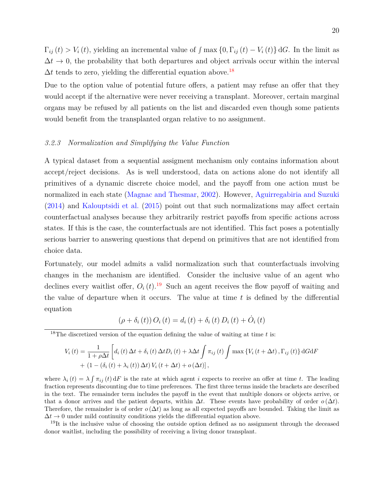$\Gamma_{ij}(t) > V_i(t)$ , yielding an incremental value of  $\int \max\{0, \Gamma_{ij}(t) - V_i(t)\} dG$ . In the limit as  $\Delta t \rightarrow 0$ , the probability that both departures and object arrivals occur within the interval  $\Delta t$  tends to zero, yielding the differential equation above.<sup>[18](#page-19-0)</sup>

Due to the option value of potential future offers, a patient may refuse an offer that they would accept if the alternative were never receiving a transplant. Moreover, certain marginal organs may be refused by all patients on the list and discarded even though some patients would benefit from the transplanted organ relative to no assignment.

#### *3.2.3 Normalization and Simplifying the Value Function*

A typical dataset from a sequential assigment mechanism only contains information about accept/reject decisions. As is well understood, data on actions alone do not identify all primitives of a dynamic discrete choice model, and the payoff from one action must be normalized in each state [\(Magnac and Thesmar,](#page-45-11) [2002\)](#page-45-11). However, [Aguirregabiria and Suzuki](#page-44-8) [\(2014\)](#page-44-8) and [Kalouptsidi et al.](#page-45-3) [\(2015\)](#page-45-3) point out that such normalizations may affect certain counterfactual analyses because they arbitrarily restrict payoffs from specific actions across states. If this is the case, the counterfactuals are not identified. This fact poses a potentially serious barrier to answering questions that depend on primitives that are not identified from choice data.

Fortunately, our model admits a valid normalization such that counterfactuals involving changes in the mechanism are identified. Consider the inclusive value of an agent who declines every waitlist offer,  $O_i(t)$ .<sup>[19](#page-19-1)</sup> Such an agent receives the flow payoff of waiting and the value of departure when it occurs. The value at time *t* is defined by the differential equation

$$
(\rho + \delta_i(t)) O_i(t) = d_i(t) + \delta_i(t) D_i(t) + \dot{O}_i(t)
$$

<span id="page-19-0"></span><sup>18</sup>The discretized version of the equation defining the value of waiting at time *t* is:

$$
V_{i}(t) = \frac{1}{1+\rho\Delta t} \left[ d_{i}(t) \Delta t + \delta_{i}(t) \Delta t D_{i}(t) + \lambda \Delta t \int \pi_{ij}(t) \int \max \left\{ V_{i}(t+\Delta t), \Gamma_{ij}(t) \right\} dG dF + (1 - (\delta_{i}(t) + \lambda_{i}(t)) \Delta t) V_{i}(t+\Delta t) + o(\Delta t) \right],
$$

where  $\lambda_i(t) = \lambda \int \pi_{ij}(t) dF$  is the rate at which agent *i* expects to receive an offer at time *t*. The leading fraction represents discounting due to time preferences. The first three terms inside the brackets are described in the text. The remainder term includes the payoff in the event that multiple donors or objects arrive, or that a donor arrives and the patient departs, within  $\Delta t$ . These events have probability of order  $o(\Delta t)$ . Therefore, the remainder is of order  $o(\Delta t)$  as long as all expected payoffs are bounded. Taking the limit as  $\Delta t \rightarrow 0$  under mild continuity conditions yields the differential equation above.

<span id="page-19-1"></span><sup>19</sup>It is the inclusive value of choosing the outside option defined as no assignment through the deceased donor waitlist, including the possibility of receiving a living donor transplant.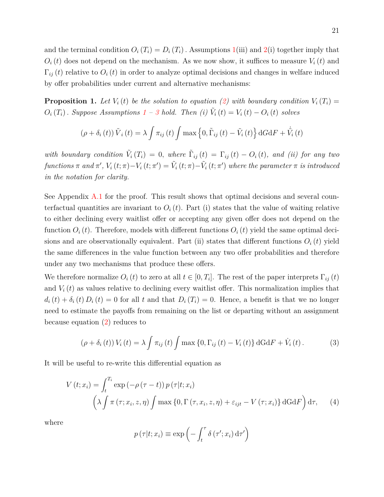and the terminal condition  $O_i(T_i) = D_i(T_i)$ . Assumptions [1\(](#page-15-0)iii) and [2\(](#page-16-3)i) together imply that  $O_i(t)$  does not depend on the mechanism. As we now show, it suffices to measure  $V_i(t)$  and  $\Gamma_{ij}(t)$  relative to  $O_i(t)$  in order to analyze optimal decisions and changes in welfare induced by offer probabilities under current and alternative mechanisms:

<span id="page-20-2"></span>**Proposition 1.** Let  $V_i(t)$  be the solution to equation [\(2\)](#page-18-1) with boundary condition  $V_i(T_i)$  =  $O_i(T_i)$ *. Suppose Assumptions*  $1 - 3$  $1 - 3$  $1 - 3$  *hold. Then (i)*  $\tilde{V}_i(t) = V_i(t) - O_i(t)$  *solves* 

$$
(\rho + \delta_i(t)) \tilde{V}_i(t) = \lambda \int \pi_{ij}(t) \int \max\left\{0, \tilde{\Gamma}_{ij}(t) - \tilde{V}_i(t)\right\} dG dF + \dot{\tilde{V}}_i(t)
$$

*with boundary condition*  $\tilde{V}_i(T_i) = 0$ , *where*  $\tilde{\Gamma}_{ij}(t) = \Gamma_{ij}(t) - O_i(t)$ , *and (ii)* for any two functions  $\pi$  and  $\pi'$ ,  $V_i(t;\pi) - V_i(t;\pi') = \tilde{V}_i(t;\pi) - \tilde{V}_i(t;\pi')$  where the parameter  $\pi$  is introduced *in the notation for clarity.*

See Appendix [A.1](#page-47-0) for the proof. This result shows that optimal decisions and several counterfactual quantities are invariant to  $O_i(t)$ . Part (i) states that the value of waiting relative to either declining every waitlist offer or accepting any given offer does not depend on the function  $O_i(t)$ . Therefore, models with different functions  $O_i(t)$  yield the same optimal decisions and are observationally equivalent. Part (ii) states that different functions  $O_i(t)$  yield the same differences in the value function between any two offer probabilities and therefore under any two mechanisms that produce these offers.

We therefore normalize  $O_i(t)$  to zero at all  $t \in [0, T_i]$ . The rest of the paper interprets  $\Gamma_{ij}(t)$ and  $V_i(t)$  as values relative to declining every waitlist offer. This normalization implies that  $d_i(t) + \delta_i(t) D_i(t) = 0$  for all *t* and that  $D_i(T_i) = 0$ . Hence, a benefit is that we no longer need to estimate the payoffs from remaining on the list or departing without an assignment because equation [\(2\)](#page-18-1) reduces to

<span id="page-20-1"></span>
$$
\left(\rho + \delta_i\left(t\right)\right) V_i\left(t\right) = \lambda \int \pi_{ij}\left(t\right) \int \max\left\{0, \Gamma_{ij}\left(t\right) - V_i\left(t\right)\right\} dG \, dF + \dot{V}_i\left(t\right). \tag{3}
$$

It will be useful to re-write this differential equation as

$$
V(t; x_i) = \int_t^{T_i} \exp(-\rho(\tau - t)) p(\tau | t; x_i)
$$

$$
\left(\lambda \int \pi(\tau; x_i, z, \eta) \int \max\{0, \Gamma(\tau, x_i, z, \eta) + \varepsilon_{ijt} - V(\tau; x_i)\} dG dF\right) d\tau, \quad (4)
$$

where

<span id="page-20-0"></span>
$$
p(\tau|t; x_i) \equiv \exp\left(-\int_t^\tau \delta(\tau'; x_i) d\tau'\right)
$$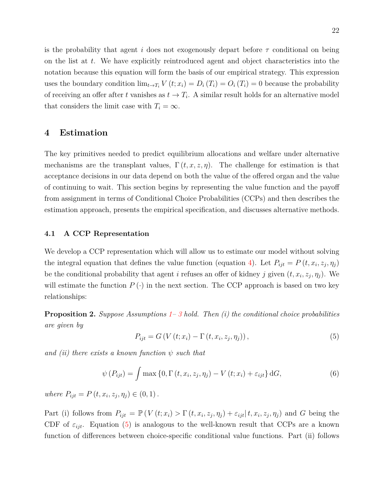is the probability that agent *i* does not exogenously depart before *τ* conditional on being on the list at *t*. We have explicitly reintroduced agent and object characteristics into the notation because this equation will form the basis of our empirical strategy. This expression uses the boundary condition  $\lim_{t\to T_i} V(t; x_i) = D_i(T_i) = O_i(T_i) = 0$  because the probability of receiving an offer after *t* vanishes as  $t \to T_i$ . A similar result holds for an alternative model that considers the limit case with  $T_i = \infty$ .

# <span id="page-21-0"></span>**4 Estimation**

The key primitives needed to predict equilibrium allocations and welfare under alternative mechanisms are the transplant values,  $\Gamma(t, x, z, \eta)$ . The challenge for estimation is that acceptance decisions in our data depend on both the value of the offered organ and the value of continuing to wait. This section begins by representing the value function and the payoff from assignment in terms of Conditional Choice Probabilities (CCPs) and then describes the estimation approach, presents the empirical specification, and discusses alternative methods.

## **4.1 A CCP Representation**

We develop a CCP representation which will allow us to estimate our model without solving the integral equation that defines the value function (equation [4\)](#page-20-0). Let  $P_{ijt} = P(t, x_i, z_j, \eta_j)$ be the conditional probability that agent *i* refuses an offer of kidney *j* given  $(t, x_i, z_j, \eta_j)$ . We will estimate the function  $P(\cdot)$  in the next section. The CCP approach is based on two key relationships:

**Proposition 2.** *Suppose Assumptions [1–](#page-15-0) [3](#page-17-2) hold. Then (i) the conditional choice probabilities are given by*

<span id="page-21-2"></span><span id="page-21-1"></span>
$$
P_{ijt} = G\left(V\left(t; x_i\right) - \Gamma\left(t, x_i, z_j, \eta_j\right)\right),\tag{5}
$$

*and (ii) there exists a known function ψ such that*

$$
\psi(P_{ijt}) = \int \max\left\{0, \Gamma(t, x_i, z_j, \eta_j) - V(t; x_i) + \varepsilon_{ijt}\right\} dG,
$$
\n(6)

 $where P_{ijt} = P(t, x_i, z_j, \eta_j) \in (0, 1).$ 

Part (i) follows from  $P_{ijt} = \mathbb{P}(V(t; x_i) > \Gamma(t, x_i, z_j, \eta_j) + \varepsilon_{ijt} | t, x_i, z_j, \eta_j)$  and G being the CDF of  $\varepsilon_{ijt}$ . Equation [\(5\)](#page-21-1) is analogous to the well-known result that CCPs are a known function of differences between choice-specific conditional value functions. Part (ii) follows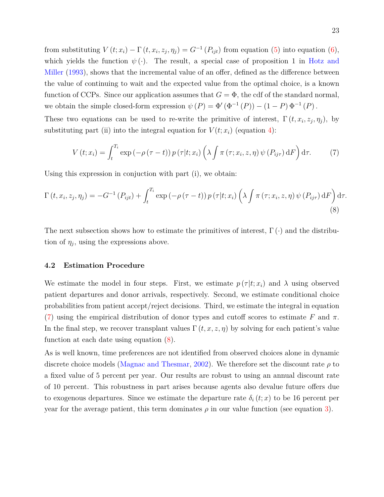from substituting  $V(t; x_i) - \Gamma(t, x_i, z_j, \eta_j) = G^{-1}(P_{ijt})$  from equation [\(5\)](#page-21-1) into equation [\(6\)](#page-21-2), which yields the function  $\psi(\cdot)$ . The result, a special case of proposition 1 in [Hotz and](#page-44-3) [Miller](#page-44-3) [\(1993\)](#page-44-3), shows that the incremental value of an offer, defined as the difference between the value of continuing to wait and the expected value from the optimal choice, is a known function of CCPs. Since our application assumes that  $G = \Phi$ , the cdf of the standard normal, we obtain the simple closed-form expression  $\psi(P) = \Phi'(\Phi^{-1}(P)) - (1 - P) \Phi^{-1}(P)$ .

These two equations can be used to re-write the primitive of interest,  $\Gamma(t, x_i, z_j, \eta_j)$ , by substituting part (ii) into the integral equation for  $V(t; x_i)$  (equation [4\)](#page-20-0):

<span id="page-22-1"></span><span id="page-22-0"></span>
$$
V(t; x_i) = \int_t^{T_i} \exp(-\rho(\tau - t)) p(\tau | t; x_i) \left(\lambda \int \pi(\tau; x_i, z, \eta) \psi(P_{ij\tau}) dF\right) d\tau.
$$
 (7)

Using this expression in conjuction with part (i), we obtain:

$$
\Gamma(t, x_i, z_j, \eta_j) = -G^{-1}(P_{ijt}) + \int_t^{T_i} \exp(-\rho(\tau - t)) p(\tau | t; x_i) \left(\lambda \int \pi(\tau; x_i, z, \eta) \psi(P_{ij\tau}) dF\right) d\tau.
$$
\n(8)

The next subsection shows how to estimate the primitives of interest,  $\Gamma(\cdot)$  and the distribution of  $\eta_j$ , using the expressions above.

## **4.2 Estimation Procedure**

We estimate the model in four steps. First, we estimate  $p(\tau|t; x_i)$  and  $\lambda$  using observed patient departures and donor arrivals, respectively. Second, we estimate conditional choice probabilities from patient accept/reject decisions. Third, we estimate the integral in equation [\(7\)](#page-22-0) using the empirical distribution of donor types and cutoff scores to estimate F and  $\pi$ . In the final step, we recover transplant values  $\Gamma(t, x, z, \eta)$  by solving for each patient's value function at each date using equation [\(8\)](#page-22-1).

As is well known, time preferences are not identified from observed choices alone in dynamic discrete choice models [\(Magnac and Thesmar,](#page-45-11) [2002\)](#page-45-11). We therefore set the discount rate *ρ* to a fixed value of 5 percent per year. Our results are robust to using an annual discount rate of 10 percent. This robustness in part arises because agents also devalue future offers due to exogenous departures. Since we estimate the departure rate  $\delta_i(t; x)$  to be 16 percent per year for the average patient, this term dominates  $\rho$  in our value function (see equation [3\)](#page-20-1).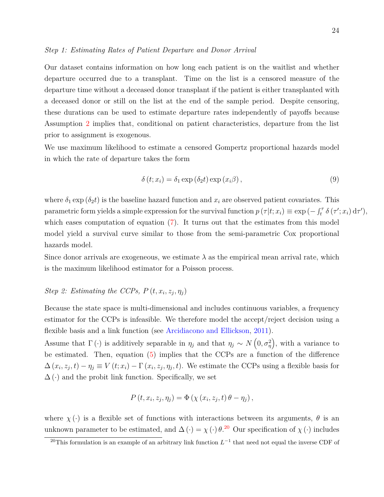#### *Step 1: Estimating Rates of Patient Departure and Donor Arrival*

Our dataset contains information on how long each patient is on the waitlist and whether departure occurred due to a transplant. Time on the list is a censored measure of the departure time without a deceased donor transplant if the patient is either transplanted with a deceased donor or still on the list at the end of the sample period. Despite censoring, these durations can be used to estimate departure rates independently of payoffs because Assumption [2](#page-16-3) implies that, conditional on patient characteristics, departure from the list prior to assignment is exogenous.

We use maximum likelihood to estimate a censored Gompertz proportional hazards model in which the rate of departure takes the form

$$
\delta(t; x_i) = \delta_1 \exp(\delta_2 t) \exp(x_i \beta), \qquad (9)
$$

where  $\delta_1$  exp ( $\delta_2 t$ ) is the baseline hazard function and  $x_i$  are observed patient covariates. This parametric form yields a simple expression for the survival function  $p(\tau|t; x_i) \equiv \exp(-\int_t^\tau \delta(\tau'; x_i) d\tau',$ which eases computation of equation [\(7\)](#page-22-0). It turns out that the estimates from this model model yield a survival curve similar to those from the semi-parametric Cox proportional hazards model.

Since donor arrivals are exogeneous, we estimate  $\lambda$  as the empirical mean arrival rate, which is the maximum likelihood estimator for a Poisson process.

## *Step 2: Estimating the CCPs,*  $P(t, x_i, z_j, \eta_j)$

Because the state space is multi-dimensional and includes continuous variables, a frequency estimator for the CCPs is infeasible. We therefore model the accept/reject decision using a flexible basis and a link function (see [Arcidiacono and Ellickson,](#page-44-12) [2011\)](#page-44-12).

Assume that  $\Gamma(\cdot)$  is additively separable in  $\eta_j$  and that  $\eta_j \sim N(0, \sigma_\eta^2)$ , with a variance to be estimated. Then, equation [\(5\)](#page-21-1) implies that the CCPs are a function of the difference  $\Delta(x_i, z_j, t) - \eta_j \equiv V(t; x_i) - \Gamma(x_i, z_j, \eta_j, t)$ . We estimate the CCPs using a flexible basis for  $\Delta(\cdot)$  and the probit link function. Specifically, we set

$$
P(t, x_i, z_j, \eta_j) = \Phi(\chi(x_i, z_j, t) \theta - \eta_j),
$$

where  $\chi(\cdot)$  is a flexible set of functions with interactions between its arguments,  $\theta$  is an unknown parameter to be estimated, and  $\Delta(\cdot) = \chi(\cdot) \theta^{20}$  $\Delta(\cdot) = \chi(\cdot) \theta^{20}$  $\Delta(\cdot) = \chi(\cdot) \theta^{20}$  Our specification of  $\chi(\cdot)$  includes

<span id="page-23-0"></span><sup>&</sup>lt;sup>20</sup>This formulation is an example of an arbitrary link function  $L^{-1}$  that need not equal the inverse CDF of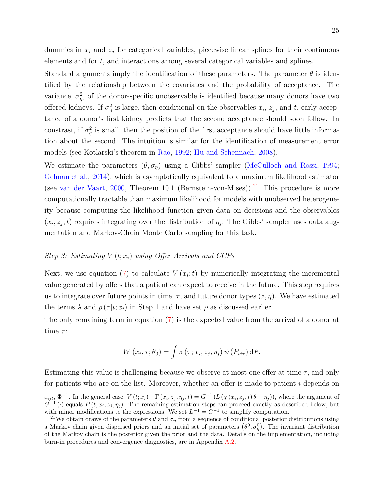Standard arguments imply the identification of these parameters. The parameter  $\theta$  is identified by the relationship between the covariates and the probability of acceptance. The variance,  $\sigma_{\eta}^2$ , of the donor-specific unobservable is identified because many donors have two offered kidneys. If  $\sigma_{\eta}^2$  is large, then conditional on the observables  $x_i$ ,  $z_j$ , and t, early acceptance of a donor's first kidney predicts that the second acceptance should soon follow. In constrast, if  $\sigma_{\eta}^2$  is small, then the position of the first acceptance should have little information about the second. The intuition is similar for the identification of measurement error models (see Kotlarski's theorem in [Rao,](#page-45-12) [1992;](#page-45-12) [Hu and Schennach,](#page-45-13) [2008\)](#page-45-13).

We estimate the parameters  $(\theta, \sigma_n)$  using a Gibbs' sampler [\(McCulloch and Rossi,](#page-45-14) [1994;](#page-45-14) [Gelman et al.,](#page-44-13) [2014\)](#page-44-13), which is asymptotically equivalent to a maximum likelihood estimator (see [van der Vaart,](#page-46-10) [2000,](#page-46-10) Theorem 10.1 (Bernstein-von-Mises)).<sup>[21](#page-24-0)</sup> This procedure is more computationally tractable than maximum likelihood for models with unobserved heterogeneity because computing the likelihood function given data on decisions and the observables  $(x_i, z_j, t)$  requires integrating over the distribution of  $\eta_j$ . The Gibbs' sampler uses data augmentation and Markov-Chain Monte Carlo sampling for this task.

## *Step 3: Estimating V* (*t*; *xi*) *using Offer Arrivals and CCPs*

Next, we use equation [\(7\)](#page-22-0) to calculate  $V(x_i; t)$  by numerically integrating the incremental value generated by offers that a patient can expect to receive in the future. This step requires us to integrate over future points in time,  $\tau$ , and future donor types  $(z, \eta)$ . We have estimated the terms  $\lambda$  and  $p(\tau|t; x_i)$  in Step 1 and have set  $\rho$  as discussed earlier.

The only remaining term in equation [\(7\)](#page-22-0) is the expected value from the arrival of a donor at time *τ* :

$$
W(x_i, \tau; \theta_0) = \int \pi(\tau; x_i, z_j, \eta_j) \psi(P_{ij\tau}) dF.
$$

Estimating this value is challenging because we observe at most one offer at time  $\tau$ , and only for patients who are on the list. Moreover, whether an offer is made to patient *i* depends on

 $\varepsilon_{ijt}$ ,  $\Phi^{-1}$ . In the general case,  $V(t; x_i) - \Gamma(x_i, z_j, \eta_j, t) = G^{-1}(L(\chi(x_i, z_j, t) \theta - \eta_j))$ , where the argument of  $G^{-1}(\cdot)$  equals  $P(t, x_i, z_j, \eta_j)$ . The remaining estimation steps can proceed exactly as described below, but with minor modifications to the expressions. We set  $L^{-1} = G^{-1}$  to simplify computation.

<span id="page-24-0"></span><sup>&</sup>lt;sup>21</sup>We obtain draws of the parameters  $\theta$  and  $\sigma_{\eta}$  from a sequence of conditional posterior distributions using a Markov chain given dispersed priors and an initial set of parameters  $(\theta^0, \sigma_\eta^0)$ . The invariant distribution of the Markov chain is the posterior given the prior and the data. Details on the implementation, including burn-in procedures and convergence diagnostics, are in Appendix [A.2.](#page-47-1)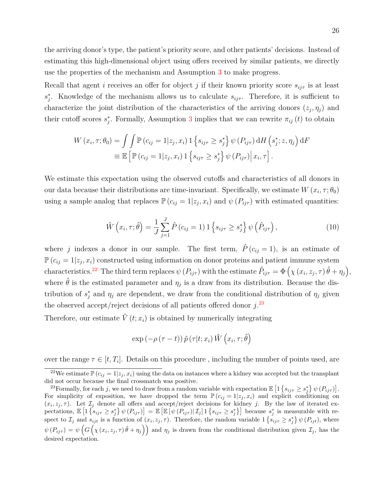the arriving donor's type, the patient's priority score, and other patients' decisions. Instead of estimating this high-dimensional object using offers received by similar patients, we directly use the properties of the mechanism and Assumption [3](#page-17-2) to make progress.

Recall that agent *i* receives an offer for object *j* if their known priority score  $s_{ij\tau}$  is at least  $s_j^*$ . Knowledge of the mechanism allows us to calculate  $s_{ij\tau}$ . Therefore, it is sufficient to characterize the joint distribution of the characteristics of the arriving donors  $(z_j, \eta_j)$  and their cutoff scores  $s_j^*$ . Formally, Assumption [3](#page-17-2) implies that we can rewrite  $\pi_{ij}(t)$  to obtain

$$
W(x_i, \tau; \theta_0) = \int \int \mathbb{P}(c_{ij} = 1 | z_j, x_i) \, 1 \left\{ s_{ij\tau} \geq s_j^* \right\} \psi(P_{ij\tau}) \, dH \left( s_j^*; z, \eta_j \right) dF
$$
  

$$
\equiv \mathbb{E} \left[ \mathbb{P}(c_{ij} = 1 | z_j, x_i) \, 1 \left\{ s_{ij\tau} \geq s_j^* \right\} \psi(P_{ij\tau}) \middle| \, x_i, \tau \right].
$$

We estimate this expectation using the observed cutoffs and characteristics of all donors in our data because their distributions are time-invariant. Specifically, we estimate  $W(x_i, \tau; \theta_0)$ using a sample analog that replaces  $\mathbb{P}(c_{ij} = 1 | z_j, x_i)$  and  $\psi(P_{ij\tau})$  with estimated quantities:

<span id="page-25-2"></span>
$$
\hat{W}(x_i, \tau; \hat{\theta}) = \frac{1}{J} \sum_{j=1}^{J} \hat{P}(c_{ij} = 1) \mathbb{1} \left\{ s_{ij\tau} \ge s_j^* \right\} \psi \left( \hat{P}_{ij\tau} \right), \tag{10}
$$

where *j* indexes a donor in our sample. The first term,  $\hat{P}(c_{ij} = 1)$ , is an estimate of  $\mathbb{P}\left(c_{ij}=1|z_j,x_i\right)$  constructed using information on donor proteins and patient immune system characteristics.<sup>[22](#page-25-0)</sup> The third term replaces  $\psi(P_{ij\tau})$  with the estimate  $\hat{P}_{ij\tau} = \Phi\left(\chi(x_i, z_j, \tau)\hat{\theta} + \eta_j\right)$ , where  $\hat{\theta}$  is the estimated parameter and  $\eta_j$  is a draw from its distribution. Because the distribution of  $s_j^*$  and  $\eta_j$  are dependent, we draw from the conditional distribution of  $\eta_j$  given the observed accept/reject decisions of all patients offered donor *j*. [23](#page-25-1)

Therefore, our estimate  $\hat{V}(t; x_i)$  is obtained by numerically integrating

$$
\exp\left(-\rho\left(\tau-t\right)\right)\hat{p}\left(\tau|t;x_i\right)\hat{W}\left(x_i,\tau;\hat{\theta}\right)
$$

over the range  $\tau \in [t, T_i]$ . Details on this procedure, including the number of points used, are

<span id="page-25-0"></span><sup>&</sup>lt;sup>22</sup>We estimate  $\mathbb{P}(c_{ij} = 1 | z_j, x_i)$  using the data on instances where a kidney was accepted but the transplant did not occur because the final crossmatch was positive.

<span id="page-25-1"></span><sup>&</sup>lt;sup>23</sup>Formally, for each *j*, we need to draw from a random variable with expectation  $\mathbb{E}\left[1\left\{s_{ij\tau}\geq s_j^*\right\}\psi(P_{ij\tau})\right]$ . For simplicity of exposition, we have dropped the term  $\mathbb{P}(c_{ij} = 1 | z_j, x_i)$  and explicit conditioning on  $(x_i, z_j, \tau)$ . Let  $\mathcal{I}_j$  denote all offers and accept/reject decisions for kidney *j*. By the law of iterated expectations,  $\mathbb{E}\left[1\left\{s_{ij\tau}\geq s_j^*\right\}\psi(P_{ij\tau})\right]=\mathbb{E}\left[\mathbb{E}\left[\psi(P_{ij\tau})|\mathcal{I}_j\right]\right]1\left\{s_{ij\tau}\geq s_j^*\right\}\right]$  because  $s_j^*$  is measurable with respect to  $\mathcal{I}_j$  and  $s_{ijt}$  is a function of  $(x_i, z_j, \tau)$ . Therefore, the random variable  $1\{s_{ij\tau} \geq s_j^*\}\psi(P_{ijt})$ , where  $\psi(P_{ij\tau}) = \psi\left(G\left(\chi(x_i, z_j, \tau)\hat{\theta} + \eta_j\right)\right)$  and  $\eta_j$  is drawn from the conditional distribution given  $\mathcal{I}_j$ , has the desired expectation.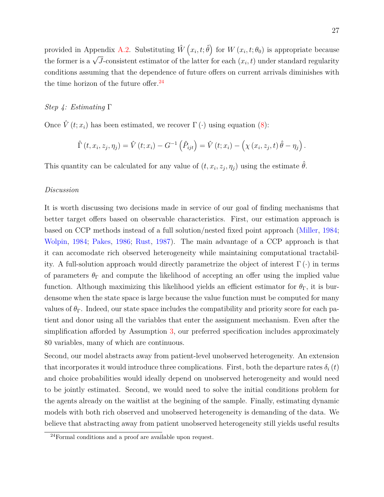provided in Appendix [A.2.](#page-47-1) Substituting  $\hat{W}(x_i, t; \hat{\theta})$  for  $W(x_i, t; \theta_0)$  is appropriate because the former is a  $\sqrt{J}$ -consistent estimator of the latter for each  $(x_i, t)$  under standard regularity conditions assuming that the dependence of future offers on current arrivals diminishes with the time horizon of the future offer. $^{24}$  $^{24}$  $^{24}$ 

## *Step 4: Estimating* Γ

Once  $\hat{V}(t; x_i)$  has been estimated, we recover  $\Gamma(\cdot)$  using equation [\(8\)](#page-22-1):

$$
\hat{\Gamma}(t, x_i, z_j, \eta_j) = \hat{V}(t; x_i) - G^{-1}(\hat{P}_{ijt}) = \hat{V}(t; x_i) - (\chi(x_i, z_j, t) \hat{\theta} - \eta_j).
$$

This quantity can be calculated for any value of  $(t, x_i, z_j, \eta_j)$  using the estimate  $\hat{\theta}$ .

## *Discussion*

It is worth discussing two decisions made in service of our goal of finding mechanisms that better target offers based on observable characteristics. First, our estimation approach is based on CCP methods instead of a full solution/nested fixed point approach [\(Miller,](#page-45-15) [1984;](#page-45-15) [Wolpin,](#page-46-11) [1984;](#page-46-11) [Pakes,](#page-45-10) [1986;](#page-45-10) [Rust,](#page-46-9) [1987\)](#page-46-9). The main advantage of a CCP approach is that it can accomodate rich observed heterogeneity while maintaining computational tractability. A full-solution approach would directly parametrize the object of interest  $\Gamma(\cdot)$  in terms of parameters  $\theta_{\Gamma}$  and compute the likelihood of accepting an offer using the implied value function. Although maximizing this likelihood yields an efficient estimator for  $\theta_{\Gamma}$ , it is burdensome when the state space is large because the value function must be computed for many values of  $\theta_{\Gamma}$ . Indeed, our state space includes the compatibility and priority score for each patient and donor using all the variables that enter the assignment mechanism. Even after the simplification afforded by Assumption [3,](#page-17-2) our preferred specification includes approximately 80 variables, many of which are continuous.

Second, our model abstracts away from patient-level unobserved heterogeneity. An extension that incorporates it would introduce three complications. First, both the departure rates  $\delta_i(t)$ and choice probabilities would ideally depend on unobserved heterogeneity and would need to be jointly estimated. Second, we would need to solve the initial conditions problem for the agents already on the waitlist at the begining of the sample. Finally, estimating dynamic models with both rich observed and unobserved heterogeneity is demanding of the data. We believe that abstracting away from patient unobserved heterogeneity still yields useful results

<span id="page-26-0"></span><sup>24</sup>Formal conditions and a proof are available upon request.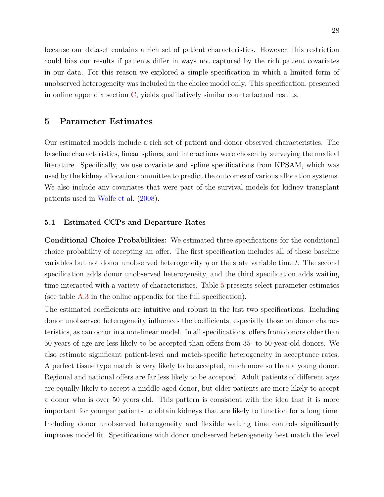because our dataset contains a rich set of patient characteristics. However, this restriction could bias our results if patients differ in ways not captured by the rich patient covariates in our data. For this reason we explored a simple specification in which a limited form of unobserved heterogeneity was included in the choice model only. This specification, presented in online appendix section [C,](#page-13-0) yields qualitatively similar counterfactual results.

## <span id="page-27-0"></span>**5 Parameter Estimates**

Our estimated models include a rich set of patient and donor observed characteristics. The baseline characteristics, linear splines, and interactions were chosen by surveying the medical literature. Specifically, we use covariate and spline specifications from KPSAM, which was used by the kidney allocation committee to predict the outcomes of various allocation systems. We also include any covariates that were part of the survival models for kidney transplant patients used in [Wolfe et al.](#page-46-12) [\(2008\)](#page-46-12).

## **5.1 Estimated CCPs and Departure Rates**

**Conditional Choice Probabilities:** We estimated three specifications for the conditional choice probability of accepting an offer. The first specification includes all of these baseline variables but not donor unobserved heterogeneity *η* or the state variable time *t*. The second specification adds donor unobserved heterogeneity, and the third specification adds waiting time interacted with a variety of characteristics. Table [5](#page-28-0) presents select parameter estimates (see table [A.3](#page-11-0) in the online appendix for the full specification).

The estimated coefficients are intuitive and robust in the last two specifications. Including donor unobserved heterogeneity influences the coefficients, especially those on donor characteristics, as can occur in a non-linear model. In all specifications, offers from donors older than 50 years of age are less likely to be accepted than offers from 35- to 50-year-old donors. We also estimate significant patient-level and match-specific heterogeneity in acceptance rates. A perfect tissue type match is very likely to be accepted, much more so than a young donor. Regional and national offers are far less likely to be accepted. Adult patients of different ages are equally likely to accept a middle-aged donor, but older patients are more likely to accept a donor who is over 50 years old. This pattern is consistent with the idea that it is more important for younger patients to obtain kidneys that are likely to function for a long time. Including donor unobserved heterogeneity and flexible waiting time controls significantly improves model fit. Specifications with donor unobserved heterogeneity best match the level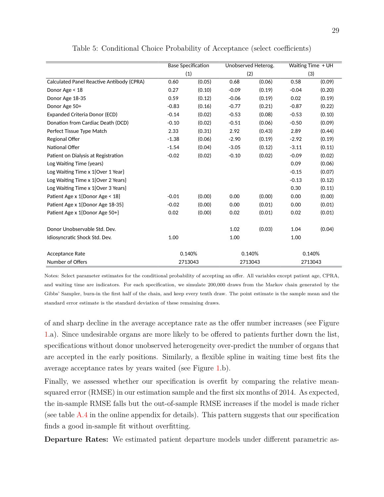<span id="page-28-0"></span>

|                                           | <b>Base Specification</b> |        | Unobserved Heterog. |        | Waiting Time + UH |        |  |
|-------------------------------------------|---------------------------|--------|---------------------|--------|-------------------|--------|--|
|                                           | (1)                       |        | (2)                 |        | (3)               |        |  |
| Calculated Panel Reactive Antibody (CPRA) | 0.60                      | (0.05) | 0.68                | (0.06) | 0.58              | (0.09) |  |
| Donor Age < 18                            | 0.27                      | (0.10) | $-0.09$             | (0.19) | $-0.04$           | (0.20) |  |
| Donor Age 18-35                           | 0.59                      | (0.12) | $-0.06$             | (0.19) | 0.02              | (0.19) |  |
| Donor Age 50+                             | $-0.83$                   | (0.16) | $-0.77$             | (0.21) | $-0.87$           | (0.22) |  |
| Expanded Criteria Donor (ECD)             | $-0.14$                   | (0.02) | $-0.53$             | (0.08) | $-0.53$           | (0.10) |  |
| Donation from Cardiac Death (DCD)         | $-0.10$                   | (0.02) | $-0.51$             | (0.06) | $-0.50$           | (0.09) |  |
| Perfect Tissue Type Match                 | 2.33                      | (0.31) | 2.92                | (0.43) | 2.89              | (0.44) |  |
| Regional Offer                            | $-1.38$                   | (0.06) | $-2.90$             | (0.19) | $-2.92$           | (0.19) |  |
| National Offer                            | $-1.54$                   | (0.04) | $-3.05$             | (0.12) | $-3.11$           | (0.11) |  |
| Patient on Dialysis at Registration       | $-0.02$                   | (0.02) | $-0.10$             | (0.02) | $-0.09$           | (0.02) |  |
| Log Waiting Time (years)                  |                           |        |                     |        | 0.09              | (0.06) |  |
| Log Waiting Time $x 1$ {Over 1 Year}      |                           |        |                     |        | $-0.15$           | (0.07) |  |
| Log Waiting Time x 1{Over 2 Years}        |                           |        |                     |        | $-0.13$           | (0.12) |  |
| Log Waiting Time x 1{Over 3 Years}        |                           |        |                     |        | 0.30              | (0.11) |  |
| Patient Age x 1{Donor Age < 18}           | $-0.01$                   | (0.00) | 0.00                | (0.00) | 0.00              | (0.00) |  |
| Patient Age x 1{Donor Age 18-35}          | $-0.02$                   | (0.00) | 0.00                | (0.01) | 0.00              | (0.01) |  |
| Patient Age x 1{Donor Age 50+}            | 0.02                      | (0.00) | 0.02                | (0.01) | 0.02              | (0.01) |  |
| Donor Unobservable Std. Dev.              |                           |        | 1.02                | (0.03) | 1.04              | (0.04) |  |
| Idiosyncratic Shock Std. Dev.             | 1.00                      |        | 1.00                |        | 1.00              |        |  |
| Acceptance Rate                           | 0.140%                    |        | 0.140%              |        | 0.140%            |        |  |
| Number of Offers                          | 2713043                   |        | 2713043             |        | 2713043           |        |  |

Table 5: Conditional Choice Probability of Acceptance (select coefficients)

Notes: Select parameter estimates for the conditional probability of accepting an offer. All variables except patient age, CPRA, and waiting time are indicators. For each specification, we simulate 200,000 draws from the Markov chain generated by the Gibbs' Sampler, burn-in the first half of the chain, and keep every tenth draw. The point estimate is the sample mean and the standard error estimate is the standard deviation of these remaining draws.

of and sharp decline in the average acceptance rate as the offer number increases (see Figure [1.](#page-29-0)a). Since undesirable organs are more likely to be offered to patients further down the list, specifications without donor unobserved heterogeneity over-predict the number of organs that are accepted in the early positions. Similarly, a flexible spline in waiting time best fits the average acceptance rates by years waited (see Figure [1.](#page-29-0)b).

Finally, we assessed whether our specification is overfit by comparing the relative meansquared error (RMSE) in our estimation sample and the first six months of 2014. As expected, the in-sample RMSE falls but the out-of-sample RMSE increases if the model is made richer (see table  $A.4$  in the online appendix for details). This pattern suggests that our specification finds a good in-sample fit without overfitting.

**Departure Rates:** We estimated patient departure models under different parametric as-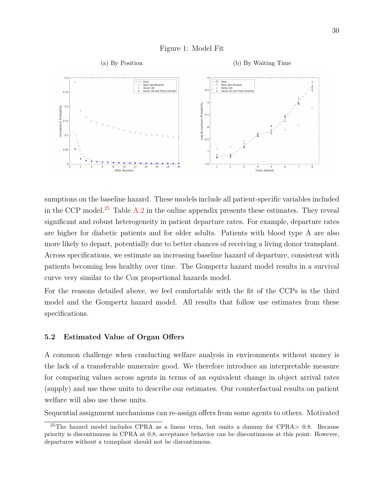

<span id="page-29-0"></span>

sumptions on the baseline hazard. These models include all patient-specific variables included in the CCP model.<sup>[25](#page-29-1)</sup> Table  $A.2$  in the online appendix presents these estimates. They reveal significant and robust heterogeneity in patient departure rates. For example, departure rates are higher for diabetic patients and for older adults. Patients with blood type A are also more likely to depart, potentially due to better chances of receiving a living donor transplant. Across specifications, we estimate an increasing baseline hazard of departure, consistent with patients becoming less healthy over time. The Gompertz hazard model results in a survival curve very similar to the Cox proportional hazards model.

For the reasons detailed above, we feel comfortable with the fit of the CCPs in the third model and the Gompertz hazard model. All results that follow use estimates from these specifications.

## <span id="page-29-2"></span>**5.2 Estimated Value of Organ Offers**

A common challenge when conducting welfare analysis in environments without money is the lack of a transferable numeraire good. We therefore introduce an interpretable measure for comparing values across agents in terms of an equivalent change in object arrival rates (supply) and use these units to describe our estimates. Our counterfactual results on patient welfare will also use these units.

Sequential assignment mechanisms can re-assign offers from some agents to others. Motivated

<span id="page-29-1"></span><sup>25</sup>The hazard model includes CPRA as a linear term, but omits a dummy for CPRA*>* 0*.*8. Because priority is discontinuous in CPRA at 0.8, acceptance behavior can be discontinuous at this point. However, departures without a transplant should not be discontinuous.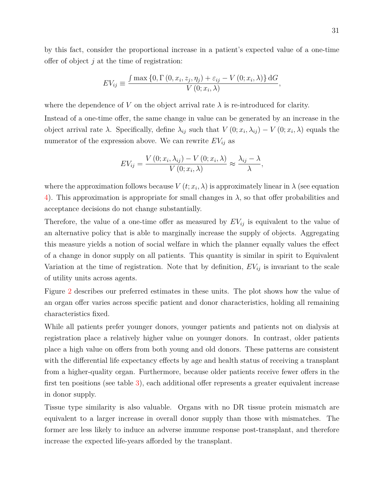by this fact, consider the proportional increase in a patient's expected value of a one-time offer of object *j* at the time of registration:

$$
EV_{ij} \equiv \frac{\int \max\left\{0, \Gamma\left(0, x_i, z_j, \eta_j\right) + \varepsilon_{ij} - V\left(0; x_i, \lambda\right)\right\} dG}{V\left(0; x_i, \lambda\right)},
$$

where the dependence of *V* on the object arrival rate  $\lambda$  is re-introduced for clarity.

Instead of a one-time offer, the same change in value can be generated by an increase in the object arrival rate  $\lambda$ . Specifically, define  $\lambda_{ij}$  such that  $V(0; x_i, \lambda_{ij}) - V(0; x_i, \lambda)$  equals the numerator of the expression above. We can rewrite  $EV_{ij}$  as

$$
EV_{ij} = \frac{V(0; x_i, \lambda_{ij}) - V(0; x_i, \lambda)}{V(0; x_i, \lambda)} \approx \frac{\lambda_{ij} - \lambda}{\lambda},
$$

where the approximation follows because  $V(t; x_i, \lambda)$  is approximately linear in  $\lambda$  (see equation [4\)](#page-20-0). This approximation is appropriate for small changes in *λ*, so that offer probabilities and acceptance decisions do not change substantially.

Therefore, the value of a one-time offer as measured by  $EV_{ij}$  is equivalent to the value of an alternative policy that is able to marginally increase the supply of objects. Aggregating this measure yields a notion of social welfare in which the planner equally values the effect of a change in donor supply on all patients. This quantity is similar in spirit to Equivalent Variation at the time of registration. Note that by definition, *EVij* is invariant to the scale of utility units across agents.

Figure [2](#page-31-0) describes our preferred estimates in these units. The plot shows how the value of an organ offer varies across specific patient and donor characteristics, holding all remaining characteristics fixed.

While all patients prefer younger donors, younger patients and patients not on dialysis at registration place a relatively higher value on younger donors. In contrast, older patients place a high value on offers from both young and old donors. These patterns are consistent with the differential life expectancy effects by age and health status of receiving a transplant from a higher-quality organ. Furthermore, because older patients receive fewer offers in the first ten positions (see table [3\)](#page-11-0), each additional offer represents a greater equivalent increase in donor supply.

<span id="page-30-0"></span>Tissue type similarity is also valuable. Organs with no DR tissue protein mismatch are equivalent to a larger increase in overall donor supply than those with mismatches. The former are less likely to induce an adverse immune response post-transplant, and therefore increase the expected life-years afforded by the transplant.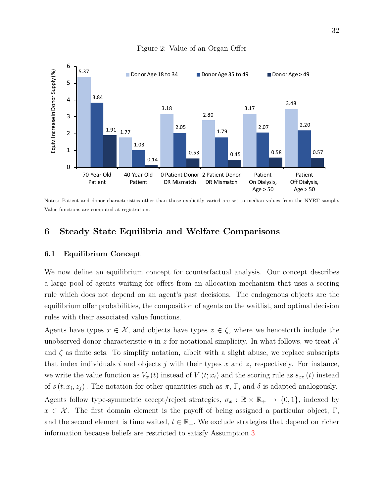<span id="page-31-0"></span>

## Figure 2: Value of an Organ Offer

Notes: Patient and donor characteristics other than those explicitly varied are set to median values from the NYRT sample. Value functions are computed at registration.

# **6 Steady State Equilibria and Welfare Comparisons**

## **6.1 Equilibrium Concept**

We now define an equilibrium concept for counterfactual analysis. Our concept describes a large pool of agents waiting for offers from an allocation mechanism that uses a scoring rule which does not depend on an agent's past decisions. The endogenous objects are the equilibrium offer probabilities, the composition of agents on the waitlist, and optimal decision rules with their associated value functions.

Agents have types  $x \in \mathcal{X}$ , and objects have types  $z \in \zeta$ , where we henceforth include the unobserved donor characteristic  $\eta$  in  $z$  for notational simplicity. In what follows, we treat  $\mathcal X$ and  $\zeta$  as finite sets. To simplify notation, albeit with a slight abuse, we replace subscripts that index individuals *i* and objects *j* with their types *x* and *z*, respectively. For instance, we write the value function as  $V_x(t)$  instead of  $V(t; x_i)$  and the scoring rule as  $s_{xz}(t)$  instead of  $s(t; x_i, z_j)$ . The notation for other quantities such as  $\pi$ ,  $\Gamma$ , and  $\delta$  is adapted analogously. Agents follow type-symmetric accept/reject strategies,  $\sigma_x : \mathbb{R} \times \mathbb{R}_+ \to \{0,1\}$ , indexed by  $x \in \mathcal{X}$ . The first domain element is the payoff of being assigned a particular object, Γ, and the second element is time waited,  $t \in \mathbb{R}_+$ . We exclude strategies that depend on richer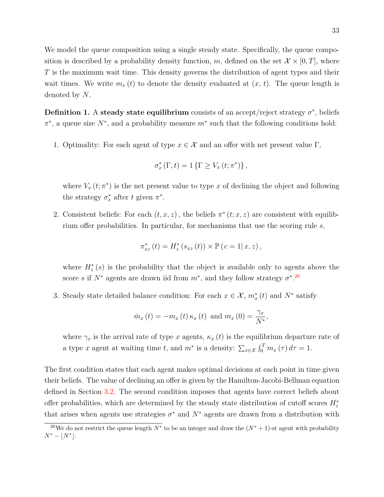We model the queue composition using a single steady state. Specifically, the queue composition is described by a probability density function, m, defined on the set  $\mathcal{X} \times [0,T]$ , where *T* is the maximum wait time. This density governs the distribution of agent types and their wait times. We write  $m_x(t)$  to denote the density evaluated at  $(x, t)$ . The queue length is denoted by *N*.

<span id="page-32-1"></span>**Definition 1.** A **steady state equilibrium** consists of an accept/reject strategy  $\sigma^*$ , beliefs  $π$ <sup>\*</sup>, a queue size *N*<sup>\*</sup>, and a probability measure *m*<sup>\*</sup> such that the following conditions hold:

1. Optimality: For each agent of type  $x \in \mathcal{X}$  and an offer with net present value  $\Gamma$ ,

$$
\sigma_x^*(\Gamma,t) = 1 \left\{ \Gamma \ge V_x(t;\pi^*) \right\},\,
$$

where  $V_x(t; \pi^*)$  is the net present value to type x of declining the object and following the strategy  $\sigma_x^*$  after *t* given  $\pi^*$ .

2. Consistent beliefs: For each  $(t, x, z)$ , the beliefs  $\pi^*(t; x, z)$  are consistent with equilibrium offer probabilities. In particular, for mechanisms that use the scoring rule *s*,

$$
\pi_{xz}^*(t) = H_z^*(s_{xz}(t)) \times \mathbb{P}(c = 1 | x, z),
$$

where  $H_z^*(s)$  is the probability that the object is available only to agents above the score *s* if  $N^*$  agents are drawn iid from  $m^*$ , and they follow strategy  $\sigma^*$ .<sup>[26](#page-32-0)</sup>

3. Steady state detailed balance condition: For each  $x \in \mathcal{X}$ ,  $m_x^*(t)$  and  $N^*$  satisfy

$$
\dot{m}_x(t) = -m_x(t) \kappa_x(t) \text{ and } m_x(0) = \frac{\gamma_x}{N^*},
$$

where  $\gamma_x$  is the arrival rate of type *x* agents,  $\kappa_x(t)$  is the equilibrium departure rate of a type *x* agent at waiting time *t*, and  $m^*$  is a density:  $\sum_{x \in \mathcal{X}} \int_0^T m_x(\tau) d\tau = 1$ .

The first condition states that each agent makes optimal decisions at each point in time given their beliefs. The value of declining an offer is given by the Hamilton-Jacobi-Bellman equation defined in Section [3.2.](#page-16-0) The second condition imposes that agents have correct beliefs about offer probabilities, which are determined by the steady state distribution of cutoff scores  $H_z^*$ that arises when agents use strategies  $\sigma^*$  and  $N^*$  agents are drawn from a distribution with

<span id="page-32-0"></span><sup>&</sup>lt;sup>26</sup>We do not restrict the queue length  $N^*$  to be an integer and draw the  $(N^* + 1)$ -st agent with probability  $N^* - |N^*|$ .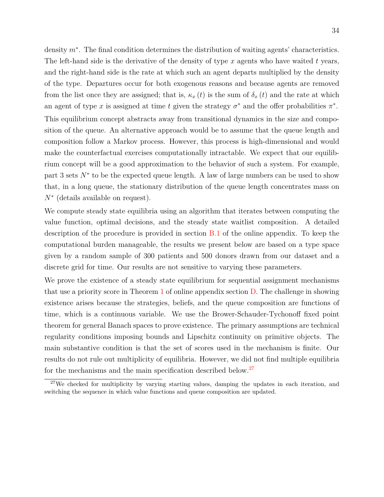density  $m<sup>∗</sup>$ . The final condition determines the distribution of waiting agents' characteristics. The left-hand side is the derivative of the density of type *x* agents who have waited *t* years, and the right-hand side is the rate at which such an agent departs multiplied by the density of the type. Departures occur for both exogenous reasons and because agents are removed from the list once they are assigned; that is,  $\kappa_x(t)$  is the sum of  $\delta_x(t)$  and the rate at which an agent of type x is assigned at time t given the strategy  $\sigma^*$  and the offer probabilities  $\pi^*$ . This equilibrium concept abstracts away from transitional dynamics in the size and composition of the queue. An alternative approach would be to assume that the queue length and composition follow a Markov process. However, this process is high-dimensional and would make the counterfactual exercises computationally intractable. We expect that our equilibrium concept will be a good approximation to the behavior of such a system. For example, part 3 sets  $N^*$  to be the expected queue length. A law of large numbers can be used to show that, in a long queue, the stationary distribution of the queue length concentrates mass on *N*<sup>∗</sup> (details available on request).

We compute steady state equilibria using an algorithm that iterates between computing the value function, optimal decisions, and the steady state waitlist composition. A detailed description of the procedure is provided in section [B.1](#page-5-2) of the online appendix. To keep the computational burden manageable, the results we present below are based on a type space given by a random sample of 300 patients and 500 donors drawn from our dataset and a discrete grid for time. Our results are not sensitive to varying these parameters.

We prove the existence of a steady state equilibrium for sequential assignment mechanisms that use a priority score in Theorem [1](#page-0-0) of online appendix section [D.](#page-21-0) The challenge in showing existence arises because the strategies, beliefs, and the queue composition are functions of time, which is a continuous variable. We use the Brower-Schauder-Tychonoff fixed point theorem for general Banach spaces to prove existence. The primary assumptions are technical regularity conditions imposing bounds and Lipschitz continuity on primitive objects. The main substantive condition is that the set of scores used in the mechanism is finite. Our results do not rule out multiplicity of equilibria. However, we did not find multiple equilibria for the mechanisms and the main specification described below.<sup>[27](#page-33-0)</sup>

<span id="page-33-0"></span><sup>&</sup>lt;sup>27</sup>We checked for multiplicity by varying starting values, damping the updates in each iteration, and switching the sequence in which value functions and queue composition are updated.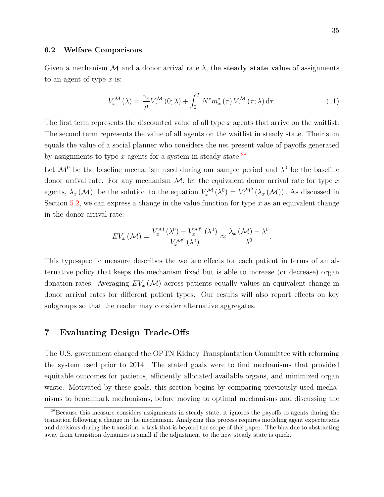#### **6.2 Welfare Comparisons**

Given a mechanism  $\mathcal M$  and a donor arrival rate  $\lambda$ , the **steady state value** of assignments to an agent of type *x* is:

$$
\bar{V}_x^{\mathcal{M}}\left(\lambda\right) = \frac{\gamma_x}{\rho} V_x^{\mathcal{M}}\left(0;\lambda\right) + \int_0^T N^* m_x^*\left(\tau\right) V_x^{\mathcal{M}}\left(\tau;\lambda\right) d\tau. \tag{11}
$$

The first term represents the discounted value of all type *x* agents that arrive on the waitlist. The second term represents the value of all agents on the waitlist in steady state. Their sum equals the value of a social planner who considers the net present value of payoffs generated by assignments to type  $x$  agents for a system in steady state.<sup>[28](#page-34-1)</sup>

Let  $\mathcal{M}^0$  be the baseline mechanism used during our sample period and  $\lambda^0$  be the baseline donor arrival rate. For any mechanism  $\mathcal{M}$ , let the equivalent donor arrival rate for type x agents,  $\lambda_x(\mathcal{M})$ , be the solution to the equation  $\bar{V}_x^{\mathcal{M}}(\lambda^0) = \bar{V}_x^{\mathcal{M}^0}(\lambda_x(\mathcal{M}))$ . As discussed in Section [5.2,](#page-29-2) we can express a change in the value function for type *x* as an equivalent change in the donor arrival rate:

$$
EV_x \left( \mathcal{M} \right) = \frac{\bar{V}_x^{\mathcal{M}} \left( \lambda^0 \right) - \bar{V}_x^{\mathcal{M}^0} \left( \lambda^0 \right)}{\bar{V}_x^{\mathcal{M}^0} \left( \lambda^0 \right)} \approx \frac{\lambda_x \left( \mathcal{M} \right) - \lambda^0}{\lambda^0}.
$$

This type-specific measure describes the welfare effects for each patient in terms of an alternative policy that keeps the mechanism fixed but is able to increase (or decrease) organ donation rates. Averaging  $EV_x(\mathcal{M})$  across patients equally values an equivalent change in donor arrival rates for different patient types. Our results will also report effects on key subgroups so that the reader may consider alternative aggregates.

# <span id="page-34-0"></span>**7 Evaluating Design Trade-Offs**

The U.S. government charged the OPTN Kidney Transplantation Committee with reforming the system used prior to 2014. The stated goals were to find mechanisms that provided equitable outcomes for patients, efficiently allocated available organs, and minimized organ waste. Motivated by these goals, this section begins by comparing previously used mechanisms to benchmark mechanisms, before moving to optimal mechanisms and discussing the

<span id="page-34-1"></span><sup>28</sup>Because this measure considers assignments in steady state, it ignores the payoffs to agents during the transition following a change in the mechanism. Analyzing this process requires modeling agent expectations and decisions during the transition, a task that is beyond the scope of this paper. The bias due to abstracting away from transition dynamics is small if the adjustment to the new steady state is quick.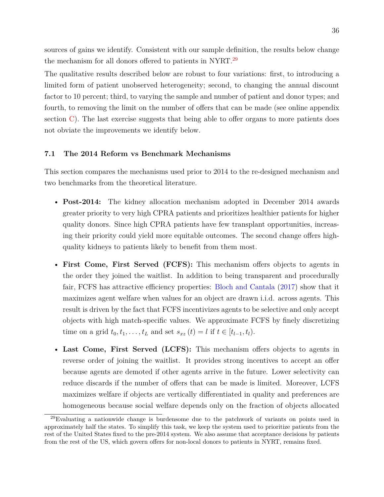sources of gains we identify. Consistent with our sample definition, the results below change the mechanism for all donors offered to patients in NYRT.<sup>[29](#page-35-0)</sup>

The qualitative results described below are robust to four variations: first, to introducing a limited form of patient unobserved heterogeneity; second, to changing the annual discount factor to 10 percent; third, to varying the sample and number of patient and donor types; and fourth, to removing the limit on the number of offers that can be made (see online appendix section [C\)](#page-13-0). The last exercise suggests that being able to offer organs to more patients does not obviate the improvements we identify below.

## **7.1 The 2014 Reform vs Benchmark Mechanisms**

This section compares the mechanisms used prior to 2014 to the re-designed mechanism and two benchmarks from the theoretical literature.

- **Post-2014:** The kidney allocation mechanism adopted in December 2014 awards greater priority to very high CPRA patients and prioritizes healthier patients for higher quality donors. Since high CPRA patients have few transplant opportunities, increasing their priority could yield more equitable outcomes. The second change offers highquality kidneys to patients likely to benefit from them most.
- **First Come, First Served (FCFS):** This mechanism offers objects to agents in the order they joined the waitlist. In addition to being transparent and procedurally fair, FCFS has attractive efficiency properties: [Bloch and Cantala](#page-44-1) [\(2017\)](#page-44-1) show that it maximizes agent welfare when values for an object are drawn i.i.d. across agents. This result is driven by the fact that FCFS incentivizes agents to be selective and only accept objects with high match-specific values. We approximate FCFS by finely discretizing time on a grid  $t_0, t_1, \ldots, t_L$  and set  $s_{xz}(t) = l$  if  $t \in [t_{l-1}, t_l)$ .
- **Last Come, First Served (LCFS):** This mechanism offers objects to agents in reverse order of joining the waitlist. It provides strong incentives to accept an offer because agents are demoted if other agents arrive in the future. Lower selectivity can reduce discards if the number of offers that can be made is limited. Moreover, LCFS maximizes welfare if objects are vertically differentiated in quality and preferences are homogeneous because social welfare depends only on the fraction of objects allocated

<span id="page-35-0"></span><sup>&</sup>lt;sup>29</sup>Evaluating a nationwide change is burdensome due to the patchwork of variants on points used in approximately half the states. To simplify this task, we keep the system used to prioritize patients from the rest of the United States fixed to the pre-2014 system. We also assume that acceptance decisions by patients from the rest of the US, which govern offers for non-local donors to patients in NYRT, remains fixed.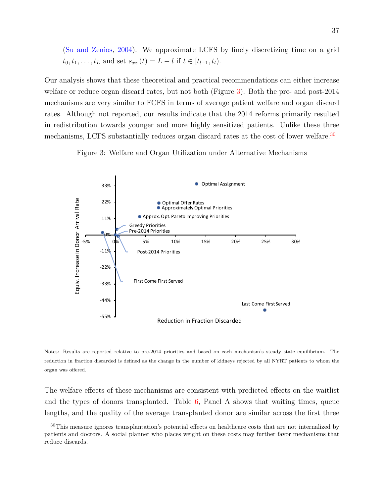[\(Su and Zenios,](#page-46-1) [2004\)](#page-46-1). We approximate LCFS by finely discretizing time on a grid  $t_0, t_1, \ldots, t_L$  and set  $s_{xz}(t) = L - l$  if  $t \in [t_{l-1}, t_l)$ .

Our analysis shows that these theoretical and practical recommendations can either increase welfare or reduce organ discard rates, but not both (Figure [3\)](#page-36-0). Both the pre- and post-2014 mechanisms are very similar to FCFS in terms of average patient welfare and organ discard rates. Although not reported, our results indicate that the 2014 reforms primarily resulted in redistribution towards younger and more highly sensitized patients. Unlike these three mechanisms, LCFS substantially reduces organ discard rates at the cost of lower welfare.<sup>[30](#page-36-1)</sup>

Figure 3: Welfare and Organ Utilization under Alternative Mechanisms

<span id="page-36-0"></span>

Notes: Results are reported relative to pre-2014 priorities and based on each mechanism's steady state equilibrium. The reduction in fraction discarded is defined as the change in the number of kidneys rejected by all NYRT patients to whom the organ was offered.

The welfare effects of these mechanisms are consistent with predicted effects on the waitlist and the types of donors transplanted. Table [6,](#page-37-0) Panel A shows that waiting times, queue lengths, and the quality of the average transplanted donor are similar across the first three

<span id="page-36-1"></span><sup>&</sup>lt;sup>30</sup>This measure ignores transplantation's potential effects on healthcare costs that are not internalized by patients and doctors. A social planner who places weight on these costs may further favor mechanisms that reduce discards.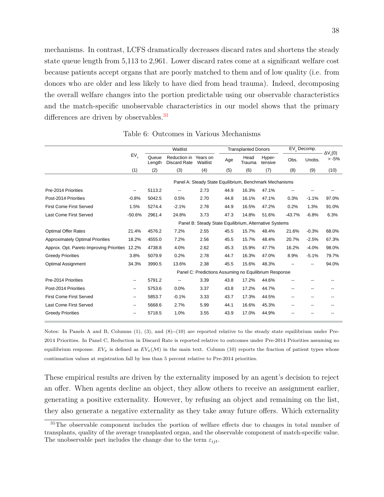mechanisms. In contrast, LCFS dramatically decreases discard rates and shortens the steady state queue length from 5,113 to 2,961. Lower discard rates come at a significant welfare cost because patients accept organs that are poorly matched to them and of low quality (i.e. from donors who are older and less likely to have died from head trauma). Indeed, decomposing the overall welfare changes into the portion predictable using our observable characteristics and the match-specific unobservable characteristics in our model shows that the primary differences are driven by observables.<sup>[31](#page-37-1)</sup>

<span id="page-37-0"></span>

|                                          |                                                        |                                                         | Waitlist                            |                                                       |  |      | <b>Transplanted Donors</b> |                   |          | EV <sub>.</sub> Decomp. |                          |
|------------------------------------------|--------------------------------------------------------|---------------------------------------------------------|-------------------------------------|-------------------------------------------------------|--|------|----------------------------|-------------------|----------|-------------------------|--------------------------|
|                                          | $EV_{x}$                                               | Oueue<br>Length                                         | Reduction in<br><b>Discard Rate</b> | Years on<br>Waitlist                                  |  | Age  | Head<br>Trauma             | Hyper-<br>tensive | Obs.     | Unobs.                  | $\Delta V(0)$<br>$> -5%$ |
|                                          | (1)                                                    | (2)                                                     | (3)                                 | (4)                                                   |  | (5)  | (6)                        | (7)               | (8)      | (9)                     | (10)                     |
|                                          |                                                        | Panel A: Steady State Equilibrium, Benchmark Mechanisms |                                     |                                                       |  |      |                            |                   |          |                         |                          |
| Pre-2014 Priorities                      | $\overline{\phantom{a}}$                               | 5113.2                                                  | --                                  | 2.73                                                  |  | 44.9 | 16.3%                      | 47.1%             |          |                         |                          |
| Post-2014 Priorities                     | $-0.8%$                                                | 5042.5                                                  | 0.5%                                | 2.70                                                  |  | 44.8 | 16.1%                      | 47.1%             | 0.3%     | $-1.1%$                 | 97.0%                    |
| <b>First Come First Served</b>           | 1.5%                                                   | 5274.4                                                  | $-2.1%$                             | 2.78                                                  |  | 44.9 | 16.5%                      | 47.2%             | 0.2%     | 1.3%                    | 91.0%                    |
| Last Come First Served                   | $-50.6%$                                               | 2961.4                                                  | 24.8%                               | 3.73                                                  |  | 47.3 | 14.8%                      | 51.6%             | $-43.7%$ | $-6.8%$                 | 6.3%                     |
|                                          | Panel B: Steady State Equilibrium, Alternative Systems |                                                         |                                     |                                                       |  |      |                            |                   |          |                         |                          |
| <b>Optimal Offer Rates</b>               | 21.4%                                                  | 4576.2                                                  | 7.2%                                | 2.55                                                  |  | 45.5 | 15.7%                      | 48.4%             | 21.6%    | $-0.3%$                 | 68.0%                    |
| <b>Approximately Optimal Priorities</b>  | 18.2%                                                  | 4555.0                                                  | 7.2%                                | 2.56                                                  |  | 45.5 | 15.7%                      | 48.4%             | 20.7%    | $-2.5%$                 | 67.3%                    |
| Approx. Opt. Pareto Improving Priorities | 12.2%                                                  | 4738.8                                                  | 4.0%                                | 2.62                                                  |  | 45.3 | 15.9%                      | 47.7%             | 16.2%    | $-4.0%$                 | 98.0%                    |
| <b>Greedy Priorities</b>                 | 3.8%                                                   | 5079.9                                                  | 0.2%                                | 2.78                                                  |  | 44.7 | 16.3%                      | 47.0%             | 8.9%     | $-5.1%$                 | 79.7%                    |
| <b>Optimal Assignment</b>                | 34.3%                                                  | 3990.5                                                  | 13.6%                               | 2.38                                                  |  | 45.5 | 15.6%                      | 48.3%             |          | --                      | 94.0%                    |
|                                          |                                                        |                                                         |                                     | Panel C: Predictions Assuming no Equilibrium Response |  |      |                            |                   |          |                         |                          |
| Pre-2014 Priorities                      |                                                        | 5791.2                                                  | --                                  | 3.39                                                  |  | 43.8 | 17.2%                      | 44.6%             |          |                         |                          |
| Post-2014 Priorities                     | --                                                     | 5753.6                                                  | 0.0%                                | 3.37                                                  |  | 43.8 | 17.2%                      | 44.7%             | --       | --                      |                          |
| <b>First Come First Served</b>           |                                                        | 5853.7                                                  | $-0.1%$                             | 3.33                                                  |  | 43.7 | 17.3%                      | 44.5%             |          |                         |                          |
| Last Come First Served                   | $\overline{\phantom{a}}$                               | 5668.6                                                  | 2.7%                                | 5.99                                                  |  | 44.1 | 16.6%                      | 45.3%             | --       | --                      |                          |
| <b>Greedy Priorities</b>                 |                                                        | 5718.5                                                  | 1.0%                                | 3.55                                                  |  | 43.9 | 17.0%                      | 44.9%             |          |                         |                          |

Table 6: Outcomes in Various Mechanisms

Notes: In Panels A and B, Columns (1), (3), and (8)--(10) are reported relative to the steady state equilibrium under Pre-2014 Priorities. In Panel C, Reduction in Discard Rate is reported relative to outcomes under Pre-2014 Priorities assuming no equilibrium response.  $EV_x$  is defined as  $EV_x(\mathcal{M})$  in the main text. Column (10) reports the fraction of patient types whose continuation values at registration fall by less than 5 percent relative to Pre-2014 priorities.

These empirical results are driven by the externality imposed by an agent's decision to reject an offer. When agents decline an object, they allow others to receive an assignment earlier, generating a positive externality. However, by refusing an object and remaining on the list, they also generate a negative externality as they take away future offers. Which externality

<span id="page-37-1"></span><sup>&</sup>lt;sup>31</sup>The observable component includes the portion of welfare effects due to changes in total number of transplants, quality of the average transplanted organ, and the observable component of match-specific value. The unobservable part includes the change due to the term  $\varepsilon_{ijt}$ .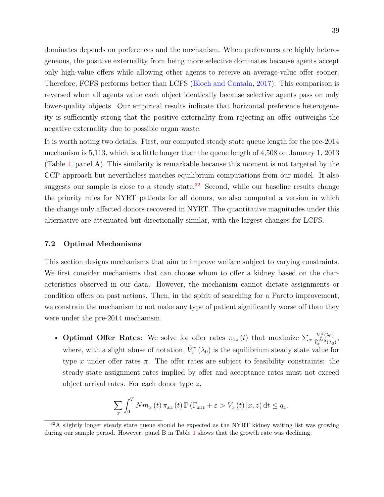dominates depends on preferences and the mechanism. When preferences are highly heterogeneous, the positive externality from being more selective dominates because agents accept only high-value offers while allowing other agents to receive an average-value offer sooner. Therefore, FCFS performs better than LCFS [\(Bloch and Cantala,](#page-44-1) [2017\)](#page-44-1). This comparison is reversed when all agents value each object identically because selective agents pass on only lower-quality objects. Our empirical results indicate that horizontal preference heterogeneity is sufficiently strong that the positive externality from rejecting an offer outweighs the negative externality due to possible organ waste.

It is worth noting two details. First, our computed steady state queue length for the pre-2014 mechanism is 5,113, which is a little longer than the queue length of 4,508 on January 1, 2013 (Table [1,](#page-8-0) panel A). This similarity is remarkable because this moment is not targeted by the CCP approach but nevertheless matches equilibrium computations from our model. It also suggests our sample is close to a steady state.<sup>[32](#page-38-0)</sup> Second, while our baseline results change the priority rules for NYRT patients for all donors, we also computed a version in which the change only affected donors recovered in NYRT. The quantitative magnitudes under this alternative are attenuated but directionally similar, with the largest changes for LCFS.

#### **7.2 Optimal Mechanisms**

This section designs mechanisms that aim to improve welfare subject to varying constraints. We first consider mechanisms that can choose whom to offer a kidney based on the characteristics observed in our data. However, the mechanism cannot dictate assignments or condition offers on past actions. Then, in the spirit of searching for a Pareto improvement, we constrain the mechanism to not make any type of patient significantly worse off than they were under the pre-2014 mechanism.

• **Optimal Offer Rates:** We solve for offer rates  $\pi_{xz}(t)$  that maximize  $\sum_x$  $\bar{V}_x^{\pi}(\lambda_0)$  $\frac{V_x^{\kappa}(\lambda_0)}{\bar{V}_x^{\mathcal{M}_0}(\lambda_0)},$ where, with a slight abuse of notation,  $\bar{V}_x^{\pi}(\lambda_0)$  is the equilibrium steady state value for type *x* under offer rates  $\pi$ . The offer rates are subject to feasibility constraints: the steady state assignment rates implied by offer and acceptance rates must not exceed object arrival rates. For each donor type *z*,

$$
\sum_{x} \int_{0}^{T} Nm_{x}(t) \pi_{xz}(t) \mathbb{P} \left( \Gamma_{xzt} + \varepsilon > V_{x}(t) \, | x, z \right) dt \leq q_{z}.
$$

<span id="page-38-0"></span> $32A$  slightly longer steady state queue should be expected as the NYRT kidney waiting list was growing during our sample period. However, panel B in Table [1](#page-8-0) shows that the growth rate was declining.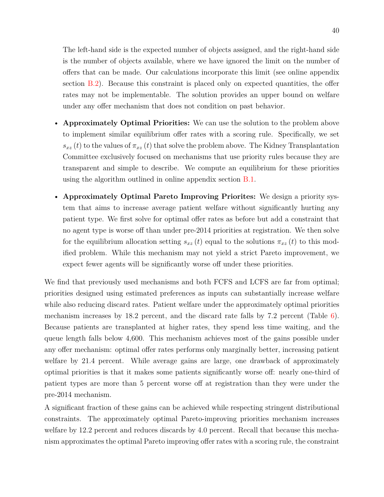The left-hand side is the expected number of objects assigned, and the right-hand side is the number of objects available, where we have ignored the limit on the number of offers that can be made. Our calculations incorporate this limit (see online appendix section [B.2\)](#page-6-0). Because this constraint is placed only on expected quantities, the offer rates may not be implementable. The solution provides an upper bound on welfare under any offer mechanism that does not condition on past behavior.

- **Approximately Optimal Priorities:** We can use the solution to the problem above to implement similar equilibrium offer rates with a scoring rule. Specifically, we set  $s_{xz}(t)$  to the values of  $\pi_{xz}(t)$  that solve the problem above. The Kidney Transplantation Committee exclusively focused on mechanisms that use priority rules because they are transparent and simple to describe. We compute an equilibrium for these priorities using the algorithm outlined in online appendix section [B.1.](#page-5-2)
- **Approximately Optimal Pareto Improving Priorites:** We design a priority system that aims to increase average patient welfare without significantly hurting any patient type. We first solve for optimal offer rates as before but add a constraint that no agent type is worse off than under pre-2014 priorities at registration. We then solve for the equilibrium allocation setting  $s_{xz}(t)$  equal to the solutions  $\pi_{xz}(t)$  to this modified problem. While this mechanism may not yield a strict Pareto improvement, we expect fewer agents will be significantly worse off under these priorities.

We find that previously used mechanisms and both FCFS and LCFS are far from optimal; priorities designed using estimated preferences as inputs can substantially increase welfare while also reducing discard rates. Patient welfare under the approximately optimal priorities mechanism increases by 18.2 percent, and the discard rate falls by 7.2 percent (Table  $6$ ). Because patients are transplanted at higher rates, they spend less time waiting, and the queue length falls below 4,600. This mechanism achieves most of the gains possible under any offer mechanism: optimal offer rates performs only marginally better, increasing patient welfare by 21.4 percent. While average gains are large, one drawback of approximately optimal priorities is that it makes some patients significantly worse off: nearly one-third of patient types are more than 5 percent worse off at registration than they were under the pre-2014 mechanism.

A significant fraction of these gains can be achieved while respecting stringent distributional constraints. The approximately optimal Pareto-improving priorities mechanism increases welfare by 12.2 percent and reduces discards by 4.0 percent. Recall that because this mechanism approximates the optimal Pareto improving offer rates with a scoring rule, the constraint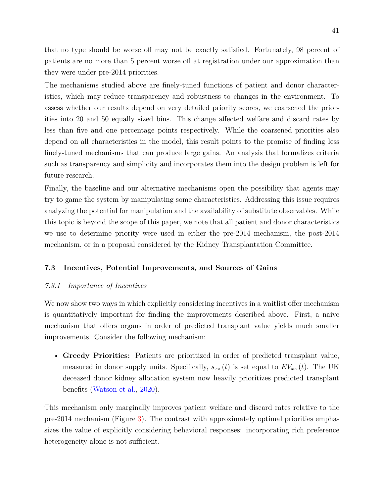that no type should be worse off may not be exactly satisfied. Fortunately, 98 percent of patients are no more than 5 percent worse off at registration under our approximation than they were under pre-2014 priorities.

The mechanisms studied above are finely-tuned functions of patient and donor characteristics, which may reduce transparency and robustness to changes in the environment. To assess whether our results depend on very detailed priority scores, we coarsened the priorities into 20 and 50 equally sized bins. This change affected welfare and discard rates by less than five and one percentage points respectively. While the coarsened priorities also depend on all characteristics in the model, this result points to the promise of finding less finely-tuned mechanisms that can produce large gains. An analysis that formalizes criteria such as transparency and simplicity and incorporates them into the design problem is left for future research.

Finally, the baseline and our alternative mechanisms open the possibility that agents may try to game the system by manipulating some characteristics. Addressing this issue requires analyzing the potential for manipulation and the availability of substitute observables. While this topic is beyond the scope of this paper, we note that all patient and donor characteristics we use to determine priority were used in either the pre-2014 mechanism, the post-2014 mechanism, or in a proposal considered by the Kidney Transplantation Committee.

## **7.3 Incentives, Potential Improvements, and Sources of Gains**

## *7.3.1 Importance of Incentives*

We now show two ways in which explicitly considering incentives in a waitlist offer mechanism is quantitatively important for finding the improvements described above. First, a naive mechanism that offers organs in order of predicted transplant value yields much smaller improvements. Consider the following mechanism:

• **Greedy Priorities:** Patients are prioritized in order of predicted transplant value, measured in donor supply units. Specifically,  $s_{xz}(t)$  is set equal to  $EV_{xz}(t)$ . The UK deceased donor kidney allocation system now heavily prioritizes predicted transplant benefits [\(Watson et al.,](#page-46-13) [2020\)](#page-46-13).

This mechanism only marginally improves patient welfare and discard rates relative to the pre-2014 mechanism (Figure [3\)](#page-36-0). The contrast with approximately optimal priorities emphasizes the value of explicitly considering behavioral responses: incorporating rich preference heterogeneity alone is not sufficient.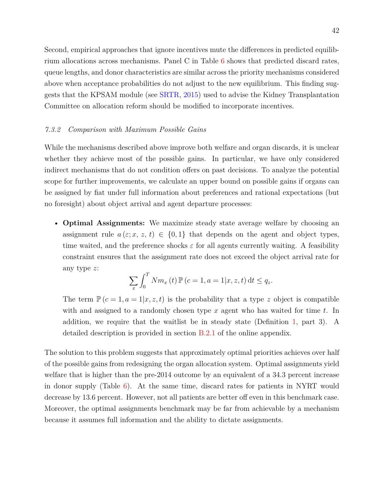Second, empirical approaches that ignore incentives mute the differences in predicted equilibrium allocations across mechanisms. Panel C in Table [6](#page-37-0) shows that predicted discard rates, queue lengths, and donor characteristics are similar across the priority mechanisms considered above when acceptance probabilities do not adjust to the new equilibrium. This finding suggests that the KPSAM module (see [SRTR,](#page-45-5) [2015\)](#page-45-5) used to advise the Kidney Transplantation Committee on allocation reform should be modified to incorporate incentives.

## *7.3.2 Comparison with Maximum Possible Gains*

While the mechanisms described above improve both welfare and organ discards, it is unclear whether they achieve most of the possible gains. In particular, we have only considered indirect mechanisms that do not condition offers on past decisions. To analyze the potential scope for further improvements, we calculate an upper bound on possible gains if organs can be assigned by fiat under full information about preferences and rational expectations (but no foresight) about object arrival and agent departure processes:

• **Optimal Assignments:** We maximize steady state average welfare by choosing an assignment rule  $a(\varepsilon; x, z, t) \in \{0, 1\}$  that depends on the agent and object types, time waited, and the preference shocks  $\varepsilon$  for all agents currently waiting. A feasibility constraint ensures that the assignment rate does not exceed the object arrival rate for any type *z*:

$$
\sum_{x} \int_{0}^{T} Nm_{x}(t) \mathbb{P}\left(c=1, a=1 | x, z, t\right) dt \leq q_{z}.
$$

The term  $\mathbb{P}(c=1, a=1|x, z, t)$  is the probability that a type *z* object is compatible with and assigned to a randomly chosen type *x* agent who has waited for time *t*. In addition, we require that the waitlist be in steady state (Definition [1,](#page-32-1) part 3). A detailed description is provided in section [B.2.1](#page-0-0) of the online appendix.

The solution to this problem suggests that approximately optimal priorities achieves over half of the possible gains from redesigning the organ allocation system. Optimal assignments yield welfare that is higher than the pre-2014 outcome by an equivalent of a 34.3 percent increase in donor supply (Table [6\)](#page-37-0). At the same time, discard rates for patients in NYRT would decrease by 13.6 percent. However, not all patients are better off even in this benchmark case. Moreover, the optimal assignments benchmark may be far from achievable by a mechanism because it assumes full information and the ability to dictate assignments.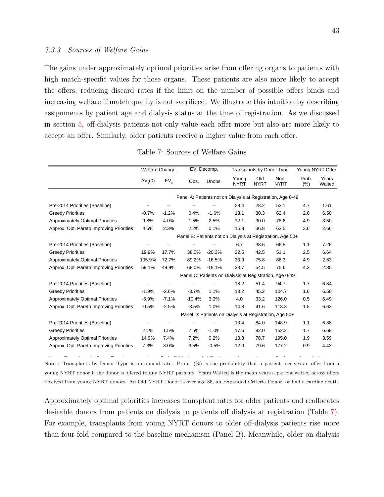The gains under approximately optimal priorities arise from offering organs to patients with high match-specific values for those organs. These patients are also more likely to accept the offers, reducing discard rates if the limit on the number of possible offers binds and increasing welfare if match quality is not sacrificed. We illustrate this intuition by describing assignments by patient age and dialysis status at the time of registration. As we discussed in section [5,](#page-27-0) off-dialysis patients not only value each offer more but also are more likely to accept an offer. Similarly, older patients receive a higher value from each offer.

<span id="page-42-0"></span>

|                                          | <b>Welfare Change</b> |          |          | EV <sub>y</sub> Decomp. |                                                             | <b>Transplants by Donor Type</b> |                     | Young NYRT Offer |                 |
|------------------------------------------|-----------------------|----------|----------|-------------------------|-------------------------------------------------------------|----------------------------------|---------------------|------------------|-----------------|
|                                          | $\Delta V(0)$         | $EV_{x}$ | Obs.     | Unobs.                  | Young<br><b>NYRT</b>                                        | Old<br><b>NYRT</b>               | Non-<br><b>NYRT</b> | Prob.<br>(%)     | Years<br>Waited |
|                                          |                       |          |          |                         | Panel A: Patients not on Dialysis at Registration, Age 0-49 |                                  |                     |                  |                 |
| Pre-2014 Priorities (Baseline)           |                       |          |          |                         | 28.4                                                        | 28.2                             | 53.1                | 4.7              | 1.61            |
| <b>Greedy Priorities</b>                 | $-0.7%$               | $-1.2%$  | 0.4%     | $-1.6%$                 | 13.1                                                        | 30.3                             | 62.4                | 2.6              | 6.50            |
| <b>Approximately Optimal Priorities</b>  | 9.8%                  | 4.0%     | 1.5%     | 2.5%                    | 12.1                                                        | 30.0                             | 78.6                | 4.9              | 3.50            |
| Approx. Opt. Pareto Improving Priorities | 4.6%                  | 2.3%     | 2.2%     | 0.1%                    | 15.8                                                        | 36.8                             | 63.5                | 3.6              | 2.66            |
|                                          |                       |          |          |                         | Panel B: Patients not on Dialysis at Registration, Age 50+  |                                  |                     |                  |                 |
| Pre-2014 Priorities (Baseline)           |                       |          |          |                         | 6.7                                                         | 38.6                             | 66.5                | 1.1              | 7.26            |
| <b>Greedy Priorities</b>                 | 19.9%                 | 17.7%    | 38.0%    | $-20.3%$                | 22.5                                                        | 42.5                             | 51.1                | 2.5              | 6.64            |
| <b>Approximately Optimal Priorities</b>  | 105.9%                | 72.7%    | 89.2%    | $-16.5%$                | 33.9                                                        | 75.8                             | 86.3                | 4.9              | 2.63            |
| Approx. Opt. Pareto Improving Priorities | 69.1%                 | 49.9%    | 68.0%    | $-18.1%$                | 23.7                                                        | 54.5                             | 75.6                | 4.3              | 2.85            |
|                                          |                       |          |          |                         | Panel C: Patients on Dialysis at Registration, Age 0-49     |                                  |                     |                  |                 |
| Pre-2014 Priorities (Baseline)           |                       |          |          |                         | 18.2                                                        | 51.4                             | 94.7                | 1.7              | 6.84            |
| <b>Greedy Priorities</b>                 | $-1.9%$               | $-2.6%$  | $-3.7%$  | 1.1%                    | 13.2                                                        | 45.2                             | 104.7               | 1.6              | 6.50            |
| Approximately Optimal Priorities         | $-5.9%$               | $-7.1%$  | $-10.4%$ | 3.3%                    | 4.0                                                         | 33.2                             | 126.0               | 0.5              | 6.49            |
| Approx. Opt. Pareto Improving Priorities | $-0.5%$               | $-2.5%$  | $-3.5%$  | 1.0%                    | 14.8                                                        | 41.6                             | 113.3               | 1.5              | 6.63            |
|                                          |                       |          |          |                         | Panel D: Patients on Dialysis at Registration, Age 50+      |                                  |                     |                  |                 |
| Pre-2014 Priorities (Baseline)           |                       |          |          |                         | 13.4                                                        | 84.0                             | 148.9               | 1.1              | 6.88            |
| <b>Greedy Priorities</b>                 | 2.1%                  | 1.5%     | 2.5%     | $-1.0%$                 | 17.6                                                        | 82.0                             | 152.2               | 1.7              | 6.69            |
| <b>Approximately Optimal Priorities</b>  | 14.9%                 | 7.4%     | 7.2%     | 0.2%                    | 13.8                                                        | 78.7                             | 195.0               | 1.9              | 3.59            |
| Approx. Opt. Pareto Improving Priorities | 7.3%                  | 3.0%     | 3.5%     | $-0.5%$                 | 12.0                                                        | 79.6                             | 177.2               | 0.9              | 4.43            |

Table 7: Sources of Welfare Gains

Notes: Transplants by Donor Type is an annual rate. Prob. (%) is the probability that a patient receives an offer from a young NYRT donor if the donor is offered to any NYRT patients. Years Waited is the mean years a patient waited across offers received from young NYRT donors. An Old NYRT Donor is over age 35, an Expanded Criteria Donor, or had a cardiac death.

Notes: Transplants by Donor Type is an annual rate. Prob. (%) is the probability that a patient receives an offer from a donor in the

Approximately optimal priorities increases transplant rates for older patients and reallocates desirable donors from patients on dialysis to patients off dialysis at registration (Table [7\)](#page-42-0). For example, transplants from young NYRT donors to older off-dialysis patients rise more than four-fold compared to the baseline mechanism (Panel B). Meanwhile, older on-dialysis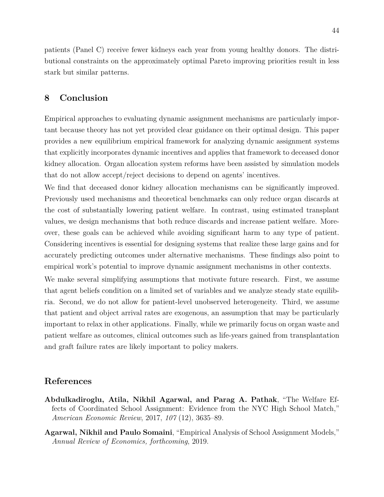patients (Panel C) receive fewer kidneys each year from young healthy donors. The distributional constraints on the approximately optimal Pareto improving priorities result in less stark but similar patterns.

# <span id="page-43-2"></span>**8 Conclusion**

Empirical approaches to evaluating dynamic assignment mechanisms are particularly important because theory has not yet provided clear guidance on their optimal design. This paper provides a new equilibrium empirical framework for analyzing dynamic assignment systems that explicitly incorporates dynamic incentives and applies that framework to deceased donor kidney allocation. Organ allocation system reforms have been assisted by simulation models that do not allow accept/reject decisions to depend on agents' incentives.

We find that deceased donor kidney allocation mechanisms can be significantly improved. Previously used mechanisms and theoretical benchmarks can only reduce organ discards at the cost of substantially lowering patient welfare. In contrast, using estimated transplant values, we design mechanisms that both reduce discards and increase patient welfare. Moreover, these goals can be achieved while avoiding significant harm to any type of patient. Considering incentives is essential for designing systems that realize these large gains and for accurately predicting outcomes under alternative mechanisms. These findings also point to empirical work's potential to improve dynamic assignment mechanisms in other contexts.

We make several simplifying assumptions that motivate future research. First, we assume that agent beliefs condition on a limited set of variables and we analyze steady state equilibria. Second, we do not allow for patient-level unobserved heterogeneity. Third, we assume that patient and object arrival rates are exogenous, an assumption that may be particularly important to relax in other applications. Finally, while we primarily focus on organ waste and patient welfare as outcomes, clinical outcomes such as life-years gained from transplantation and graft failure rates are likely important to policy makers.

# **References**

- <span id="page-43-1"></span>**Abdulkadiroglu, Atila, Nikhil Agarwal, and Parag A. Pathak**, "The Welfare Effects of Coordinated School Assignment: Evidence from the NYC High School Match," *American Economic Review*, 2017, *107* (12), 3635–89.
- <span id="page-43-0"></span>**Agarwal, Nikhil and Paulo Somaini**, "Empirical Analysis of School Assignment Models," *Annual Review of Economics, forthcoming*, 2019.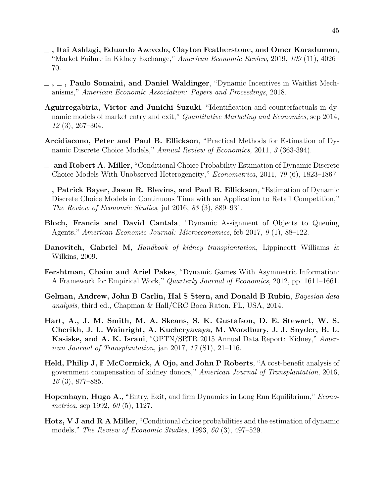- <span id="page-44-9"></span>**, Itai Ashlagi, Eduardo Azevedo, Clayton Featherstone, and Omer Karaduman**, "Market Failure in Kidney Exchange," *American Economic Review*, 2019, *109* (11), 4026– 70.
- <span id="page-44-2"></span>**, , Paulo Somaini, and Daniel Waldinger**, "Dynamic Incentives in Waitlist Mechanisms," *American Economic Association: Papers and Proceedings*, 2018.
- <span id="page-44-8"></span>**Aguirregabiria, Victor and Junichi Suzuki**, "Identification and counterfactuals in dynamic models of market entry and exit," *Quantitative Marketing and Economics*, sep 2014, *12* (3), 267–304.
- <span id="page-44-12"></span>**Arcidiacono, Peter and Paul B. Ellickson**, "Practical Methods for Estimation of Dynamic Discrete Choice Models," *Annual Review of Economics*, 2011, *3* (363-394).
- <span id="page-44-4"></span>**and Robert A. Miller**, "Conditional Choice Probability Estimation of Dynamic Discrete Choice Models With Unobserved Heterogeneity," *Econometrica*, 2011, *79* (6), 1823–1867.
- <span id="page-44-5"></span>**, Patrick Bayer, Jason R. Blevins, and Paul B. Ellickson**, "Estimation of Dynamic Discrete Choice Models in Continuous Time with an Application to Retail Competition," *The Review of Economic Studies*, jul 2016, *83* (3), 889–931.
- <span id="page-44-1"></span>**Bloch, Francis and David Cantala**, "Dynamic Assignment of Objects to Queuing Agents," *American Economic Journal: Microeconomics*, feb 2017, *9* (1), 88–122.
- <span id="page-44-10"></span>**Danovitch, Gabriel M**, *Handbook of kidney transplantation*, Lippincott Williams & Wilkins, 2009.
- <span id="page-44-7"></span>**Fershtman, Chaim and Ariel Pakes**, "Dynamic Games With Asymmetric Information: A Framework for Empirical Work," *Quarterly Journal of Economics*, 2012, pp. 1611–1661.
- <span id="page-44-13"></span>**Gelman, Andrew, John B Carlin, Hal S Stern, and Donald B Rubin**, *Bayesian data analysis*, third ed., Chapman & Hall/CRC Boca Raton, FL, USA, 2014.
- <span id="page-44-11"></span>**Hart, A., J. M. Smith, M. A. Skeans, S. K. Gustafson, D. E. Stewart, W. S. Cherikh, J. L. Wainright, A. Kucheryavaya, M. Woodbury, J. J. Snyder, B. L. Kasiske, and A. K. Israni**, "OPTN/SRTR 2015 Annual Data Report: Kidney," *American Journal of Transplantation*, jan 2017, *17* (S1), 21–116.
- <span id="page-44-0"></span>**Held, Philip J, F McCormick, A Ojo, and John P Roberts**, "A cost-benefit analysis of government compensation of kidney donors," *American Journal of Transplantation*, 2016, *16* (3), 877–885.
- <span id="page-44-6"></span>**Hopenhayn, Hugo A.**, "Entry, Exit, and firm Dynamics in Long Run Equilibrium," *Econometrica*, sep 1992, *60* (5), 1127.
- <span id="page-44-3"></span>**Hotz, V J and R A Miller**, "Conditional choice probabilities and the estimation of dynamic models," *The Review of Economic Studies*, 1993, *60* (3), 497–529.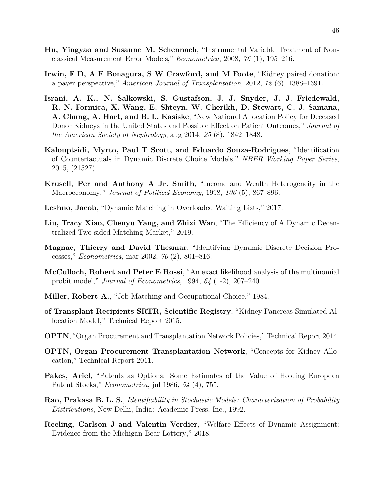- <span id="page-45-13"></span>**Hu, Yingyao and Susanne M. Schennach**, "Instrumental Variable Treatment of Nonclassical Measurement Error Models," *Econometrica*, 2008, *76* (1), 195–216.
- <span id="page-45-0"></span>**Irwin, F D, A F Bonagura, S W Crawford, and M Foote**, "Kidney paired donation: a payer perspective," *American Journal of Transplantation*, 2012, *12* (6), 1388–1391.
- <span id="page-45-9"></span>**Israni, A. K., N. Salkowski, S. Gustafson, J. J. Snyder, J. J. Friedewald, R. N. Formica, X. Wang, E. Shteyn, W. Cherikh, D. Stewart, C. J. Samana, A. Chung, A. Hart, and B. L. Kasiske**, "New National Allocation Policy for Deceased Donor Kidneys in the United States and Possible Effect on Patient Outcomes," *Journal of the American Society of Nephrology*, aug 2014, *25* (8), 1842–1848.
- <span id="page-45-3"></span>**Kalouptsidi, Myrto, Paul T Scott, and Eduardo Souza-Rodrigues**, "Identification of Counterfactuals in Dynamic Discrete Choice Models," *NBER Working Paper Series*, 2015, (21527).
- <span id="page-45-2"></span>**Krusell, Per and Anthony A Jr. Smith**, "Income and Wealth Heterogeneity in the Macroeconomy," *Journal of Political Economy*, 1998, *106* (5), 867–896.
- <span id="page-45-1"></span>**Leshno, Jacob**, "Dynamic Matching in Overloaded Waiting Lists," 2017.
- <span id="page-45-7"></span>**Liu, Tracy Xiao, Chenyu Yang, and Zhixi Wan**, "The Efficiency of A Dynamic Decentralized Two-sided Matching Market," 2019.
- <span id="page-45-11"></span>**Magnac, Thierry and David Thesmar**, "Identifying Dynamic Discrete Decision Processes," *Econometrica*, mar 2002, *70* (2), 801–816.
- <span id="page-45-14"></span>**McCulloch, Robert and Peter E Rossi**, "An exact likelihood analysis of the multinomial probit model," *Journal of Econometrics*, 1994, *64* (1-2), 207–240.
- <span id="page-45-15"></span>**Miller, Robert A.**, "Job Matching and Occupational Choice," 1984.
- <span id="page-45-5"></span>**of Transplant Recipients SRTR, Scientific Registry**, "Kidney-Pancreas Simulated Allocation Model," Technical Report 2015.
- <span id="page-45-8"></span>**OPTN**, "Organ Procurement and Transplantation Network Policies," Technical Report 2014.
- <span id="page-45-4"></span>**OPTN, Organ Procurement Transplantation Network**, "Concepts for Kidney Allocation," Technical Report 2011.
- <span id="page-45-10"></span>**Pakes, Ariel**, "Patents as Options: Some Estimates of the Value of Holding European Patent Stocks," *Econometrica*, jul 1986, *54* (4), 755.
- <span id="page-45-12"></span>**Rao, Prakasa B. L. S.**, *Identifiability in Stochastic Models: Characterization of Probability Distributions*, New Delhi, India: Academic Press, Inc., 1992.
- <span id="page-45-6"></span>**Reeling, Carlson J and Valentin Verdier**, "Welfare Effects of Dynamic Assignment: Evidence from the Michigan Bear Lottery," 2018.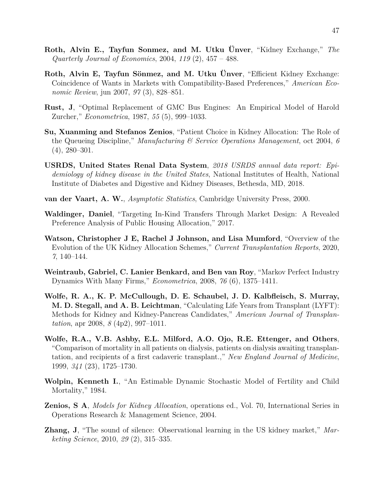- <span id="page-46-4"></span>**Roth, Alvin E., Tayfun Sonmez, and M. Utku Ünver**, "Kidney Exchange," *The Quarterly Journal of Economics*, 2004, *119* (2), 457 – 488.
- <span id="page-46-5"></span>**Roth, Alvin E, Tayfun Sönmez, and M. Utku Ünver**, "Efficient Kidney Exchange: Coincidence of Wants in Markets with Compatibility-Based Preferences," *American Economic Review*, jun 2007, *97* (3), 828–851.
- <span id="page-46-9"></span>**Rust, J**, "Optimal Replacement of GMC Bus Engines: An Empirical Model of Harold Zurcher," *Econometrica*, 1987, *55* (5), 999–1033.
- <span id="page-46-1"></span>**Su, Xuanming and Stefanos Zenios**, "Patient Choice in Kidney Allocation: The Role of the Queueing Discipline," *Manufacturing & Service Operations Management*, oct 2004, *6*  $(4), 280 - 301.$
- <span id="page-46-8"></span>**USRDS, United States Renal Data System**, *2018 USRDS annual data report: Epidemiology of kidney disease in the United States*, National Institutes of Health, National Institute of Diabetes and Digestive and Kidney Diseases, Bethesda, MD, 2018.
- <span id="page-46-10"></span>**van der Vaart, A. W.**, *Asymptotic Statistics*, Cambridge University Press, 2000.
- <span id="page-46-7"></span>**Waldinger, Daniel**, "Targeting In-Kind Transfers Through Market Design: A Revealed Preference Analysis of Public Housing Allocation," 2017.
- <span id="page-46-13"></span>**Watson, Christopher J E, Rachel J Johnson, and Lisa Mumford**, "Overview of the Evolution of the UK Kidney Allocation Schemes," *Current Transplantation Reports*, 2020, *7*, 140–144.
- <span id="page-46-2"></span>**Weintraub, Gabriel, C. Lanier Benkard, and Ben van Roy**, "Markov Perfect Industry Dynamics With Many Firms," *Econometrica*, 2008, *76* (6), 1375–1411.
- <span id="page-46-12"></span>**Wolfe, R. A., K. P. McCullough, D. E. Schaubel, J. D. Kalbfleisch, S. Murray, M. D. Stegall, and A. B. Leichtman**, "Calculating Life Years from Transplant (LYFT): Methods for Kidney and Kidney-Pancreas Candidates," *American Journal of Transplantation*, apr 2008, *8* (4p2), 997–1011.
- <span id="page-46-0"></span>**Wolfe, R.A., V.B. Ashby, E.L. Milford, A.O. Ojo, R.E. Ettenger, and Others**, "Comparison of mortality in all patients on dialysis, patients on dialysis awaiting transplantation, and recipients of a first cadaveric transplant.," *New England Journal of Medicine*, 1999, *341* (23), 1725–1730.
- <span id="page-46-11"></span>**Wolpin, Kenneth I.**, "An Estimable Dynamic Stochastic Model of Fertility and Child Mortality," 1984.
- <span id="page-46-3"></span>**Zenios, S A**, *Models for Kidney Allocation*, operations ed., Vol. 70, International Series in Operations Research & Management Science, 2004.
- <span id="page-46-6"></span>**Zhang, J**, "The sound of silence: Observational learning in the US kidney market," *Marketing Science*, 2010, *29* (2), 315–335.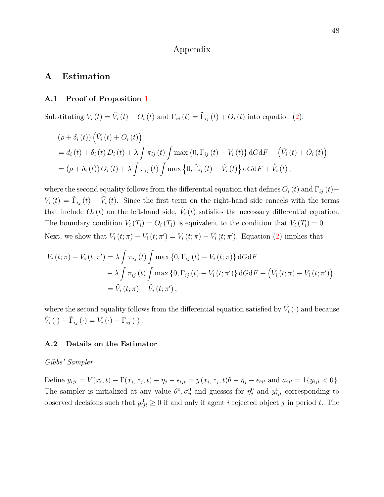## Appendix

## **A Estimation**

#### <span id="page-47-0"></span>**A.1 Proof of Proposition [1](#page-20-2)**

Substituting  $V_i(t) = \tilde{V}_i(t) + O_i(t)$  and  $\Gamma_{ij}(t) = \tilde{\Gamma}_{ij}(t) + O_i(t)$  into equation [\(2\)](#page-18-1):

$$
\begin{aligned} &\left(\rho + \delta_i\left(t\right)\right)\left(\tilde{V}_i\left(t\right) + O_i\left(t\right)\right) \\ &= d_i\left(t\right) + \delta_i\left(t\right)D_i\left(t\right) + \lambda \int \pi_{ij}\left(t\right) \int \max\left\{0, \Gamma_{ij}\left(t\right) - V_i\left(t\right)\right\} dG \mathrm{d}F + \left(\tilde{V}_i\left(t\right) + \dot{O}_i\left(t\right)\right) \\ &= \left(\rho + \delta_i\left(t\right)\right)O_i\left(t\right) + \lambda \int \pi_{ij}\left(t\right) \int \max\left\{0, \tilde{\Gamma}_{ij}\left(t\right) - \tilde{V}_i\left(t\right)\right\} dG \mathrm{d}F + \dot{\tilde{V}}_i\left(t\right), \end{aligned}
$$

where the second equality follows from the differential equation that defines  $O_i(t)$  and  $\Gamma_{ij}(t)$ −  $V_i(t) = \tilde{\Gamma}_{ij}(t) - \tilde{V}_i(t)$ . Since the first term on the right-hand side cancels with the terms that include  $O_i(t)$  on the left-hand side,  $\tilde{V}_i(t)$  satisfies the necessary differential equation. The boundary condition  $V_i(T_i) = O_i(T_i)$  is equivalent to the condition that  $\tilde{V}_i(T_i) = 0$ . Next, we show that  $V_i(t; \pi) - V_i(t; \pi') = \tilde{V}_i(t; \pi) - \tilde{V}_i(t; \pi')$ . Equation [\(2\)](#page-18-1) implies that

$$
V_{i}(t; \pi) - V_{i}(t; \pi') = \lambda \int \pi_{ij}(t) \int \max \{0, \Gamma_{ij}(t) - V_{i}(t; \pi)\} dG dF
$$
  
-  $\lambda \int \pi_{ij}(t) \int \max \{0, \Gamma_{ij}(t) - V_{i}(t; \pi')\} dG dF + (\dot{V}_{i}(t; \pi) - \dot{V}_{i}(t; \pi'))$   
=  $\tilde{V}_{i}(t; \pi) - \tilde{V}_{i}(t; \pi'),$ 

where the second equality follows from the differential equation satisfied by  $\tilde{V}_i(\cdot)$  and because  $\tilde{V}_i(\cdot) - \tilde{\Gamma}_{ij}(\cdot) = V_i(\cdot) - \Gamma_{ij}(\cdot).$ 

## <span id="page-47-1"></span>**A.2 Details on the Estimator**

## *Gibbs' Sampler*

Define  $y_{ijt} = V(x_i, t) - \Gamma(x_i, z_j, t) - \eta_j - \epsilon_{ijt} = \chi(x_i, z_j, t)\theta - \eta_j - \epsilon_{ijt}$  and  $a_{ijt} = 1\{y_{ijt} < 0\}.$ The sampler is initialized at any value  $\theta^0$ ,  $\sigma_\eta^0$  and guesses for  $\eta_j^0$  and  $y_{ijt}^0$  corresponding to observed decisions such that  $y_{ijt}^0 \geq 0$  if and only if agent *i* rejected object *j* in period *t*. The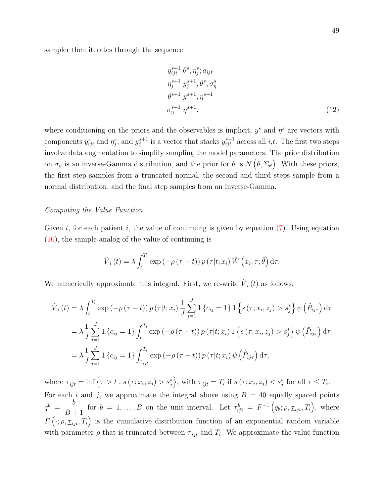sampler then iterates through the sequence

$$
y_{ijt}^{s+1} | \theta^s, \eta_j^s; a_{ijt}
$$
  
\n
$$
\eta_j^{s+1} | y_j^{s+1}, \theta^s, \sigma_\eta^s
$$
  
\n
$$
\theta^{s+1} | y^{s+1}, \eta^{s+1}
$$
  
\n
$$
\sigma_\eta^{s+1} | \eta^{s+1},
$$
\n(12)

where conditioning on the priors and the observables is implicit,  $y^s$  and  $\eta^s$  are vectors with components  $y_{ijt}^s$  and  $\eta_j^s$ , and  $y_j^{s+1}$  is a vector that stacks  $y_{ijt}^{s+1}$  across all *i*,*t*. The first two steps involve data augmentation to simplify sampling the model parameters. The prior distribution on  $\sigma_{\eta}$  is an inverse-Gamma distribution, and the prior for  $\theta$  is  $N(\bar{\theta}, \Sigma_{\theta})$ . With these priors, the first step samples from a truncated normal, the second and third steps sample from a normal distribution, and the final step samples from an inverse-Gamma.

## *Computing the Value Function*

Given  $t$ , for each patient  $i$ , the value of continuing is given by equation  $(7)$ . Using equation [\(10\)](#page-25-2), the sample analog of the value of continuing is

$$
\hat{V}_i(t) = \lambda \int_t^{T_i} \exp(-\rho(\tau - t)) p(\tau | t; x_i) \hat{W}(x_i, \tau; \hat{\theta}) d\tau.
$$

We numerically approximate this integral. First, we re-write  $\hat{V}_i(t)$  as follows:

$$
\hat{V}_{i}(t) = \lambda \int_{t}^{T_{i}} \exp(-\rho(\tau - t)) p(\tau | t; x_{i}) \frac{1}{J} \sum_{j=1}^{J} 1 \{c_{ij} = 1\} 1 \{s(\tau; x_{i}, z_{j}) > s_{j}^{*}\} \psi(\hat{P}_{ij\tau}) d\tau \n= \lambda \frac{1}{J} \sum_{j=1}^{J} 1 \{c_{ij} = 1\} \int_{t}^{T_{i}} \exp(-\rho(\tau - t)) p(\tau | t; x_{i}) 1 \{s(\tau; x_{i}, z_{j}) > s_{j}^{*}\} \psi(\hat{P}_{ij\tau}) d\tau \n= \lambda \frac{1}{J} \sum_{j=1}^{J} 1 \{c_{ij} = 1\} \int_{\tau_{ijt}}^{T_{i}} \exp(-\rho(\tau - t)) p(\tau | t; x_{i}) \psi(\hat{P}_{ij\tau}) d\tau,
$$

where  $\underline{\tau}_{ijt} = \inf \{ \tau > t : s(\tau; x_i, z_j) > s_j^* \},\$  with  $\underline{\tau}_{ijt} = T_i$  if  $s(\tau; x_i, z_j) < s_j^*$  for all  $\tau \leq T_i$ . For each *i* and *j*, we approximate the integral above using  $B = 40$  equally spaced points  $q^b = \frac{b}{\sqrt{b}}$ *B* + 1 for  $b = 1, \ldots, B$  on the unit interval. Let  $\tau_{ijt}^b = F^{-1}(q_b; \rho, \underline{\tau}_{ijt}, T_i)$ , where  $F\left(\cdot; \rho, \underline{\tau}_{ijt}, T_i\right)$  is the cumulative distribution function of an exponential random variable with parameter  $\rho$  that is truncated between  $\tau_{ijt}$  and  $T_i$ . We approximate the value function